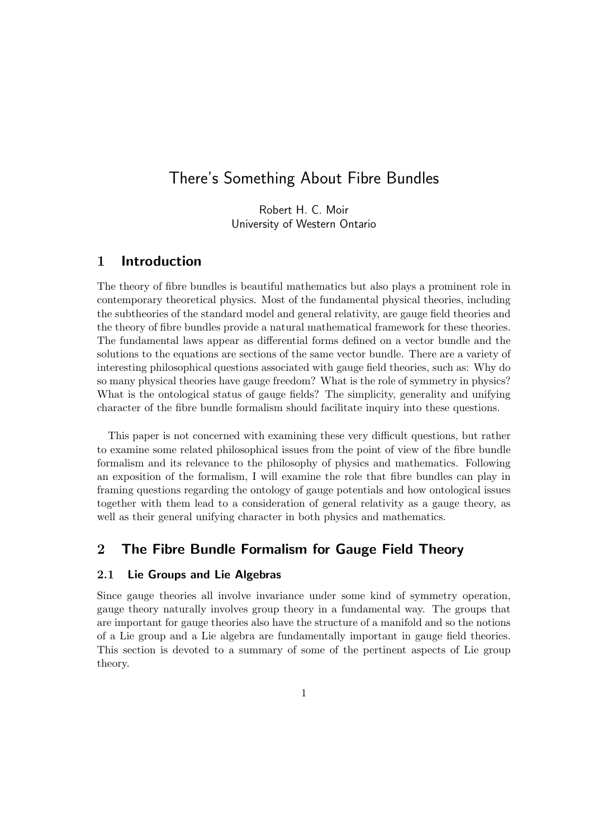# There's Something About Fibre Bundles

Robert H. C. Moir University of Western Ontario

### 1 Introduction

The theory of fibre bundles is beautiful mathematics but also plays a prominent role in contemporary theoretical physics. Most of the fundamental physical theories, including the subtheories of the standard model and general relativity, are gauge field theories and the theory of fibre bundles provide a natural mathematical framework for these theories. The fundamental laws appear as differential forms defined on a vector bundle and the solutions to the equations are sections of the same vector bundle. There are a variety of interesting philosophical questions associated with gauge field theories, such as: Why do so many physical theories have gauge freedom? What is the role of symmetry in physics? What is the ontological status of gauge fields? The simplicity, generality and unifying character of the fibre bundle formalism should facilitate inquiry into these questions.

This paper is not concerned with examining these very difficult questions, but rather to examine some related philosophical issues from the point of view of the fibre bundle formalism and its relevance to the philosophy of physics and mathematics. Following an exposition of the formalism, I will examine the role that fibre bundles can play in framing questions regarding the ontology of gauge potentials and how ontological issues together with them lead to a consideration of general relativity as a gauge theory, as well as their general unifying character in both physics and mathematics.

### 2 The Fibre Bundle Formalism for Gauge Field Theory

### 2.1 Lie Groups and Lie Algebras

Since gauge theories all involve invariance under some kind of symmetry operation, gauge theory naturally involves group theory in a fundamental way. The groups that are important for gauge theories also have the structure of a manifold and so the notions of a Lie group and a Lie algebra are fundamentally important in gauge field theories. This section is devoted to a summary of some of the pertinent aspects of Lie group theory.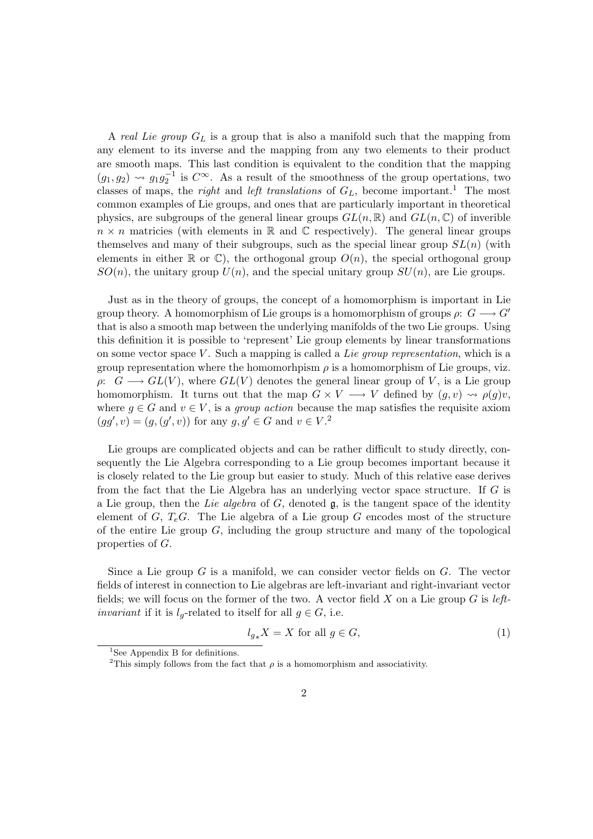A *real Lie group*  $G_L$  is a group that is also a manifold such that the mapping from any element to its inverse and the mapping from any two elements to their product are smooth maps. This last condition is equivalent to the condition that the mapping  $(g_1, g_2) \rightsquigarrow g_1 g_2^{-1}$  is  $C^{\infty}$ . As a result of the smoothness of the group opertations, two classes of maps, the *right* and *left translations* of  $G_L$ , become important.<sup>1</sup> The most common examples of Lie groups, and ones that are particularly important in theoretical physics, are subgroups of the general linear groups  $GL(n,\mathbb{R})$  and  $GL(n,\mathbb{C})$  of inverible  $n \times n$  matricies (with elements in R and C respectively). The general linear groups themselves and many of their subgroups, such as the special linear group  $SL(n)$  (with elements in either  $\mathbb R$  or  $\mathbb C$ ), the orthogonal group  $O(n)$ , the special orthogonal group  $SO(n)$ , the unitary group  $U(n)$ , and the special unitary group  $SU(n)$ , are Lie groups.

Just as in the theory of groups, the concept of a homomorphism is important in Lie group theory. A homomorphism of Lie groups is a homomorphism of groups  $\rho: G \longrightarrow G'$ that is also a smooth map between the underlying manifolds of the two Lie groups. Using this definition it is possible to 'represent' Lie group elements by linear transformations on some vector space  $V$ . Such a mapping is called a Lie group representation, which is a group representation where the homomorphism  $\rho$  is a homomorphism of Lie groups, viz.  $\rho: G \longrightarrow GL(V)$ , where  $GL(V)$  denotes the general linear group of V, is a Lie group homomorphism. It turns out that the map  $G \times V \longrightarrow V$  defined by  $(g, v) \rightsquigarrow \rho(g)v$ , where  $g \in G$  and  $v \in V$ , is a *group action* because the map satisfies the requisite axiom  $(gg', v) = (g, (g', v))$  for any  $g, g' \in G$  and  $v \in V$ .<sup>2</sup>

Lie groups are complicated objects and can be rather difficult to study directly, consequently the Lie Algebra corresponding to a Lie group becomes important because it is closely related to the Lie group but easier to study. Much of this relative ease derives from the fact that the Lie Algebra has an underlying vector space structure. If G is a Lie group, then the Lie algebra of G, denoted  $\mathfrak{g}$ , is the tangent space of the identity element of G,  $T_e$ G. The Lie algebra of a Lie group G encodes most of the structure of the entire Lie group  $G$ , including the group structure and many of the topological properties of G.

Since a Lie group  $G$  is a manifold, we can consider vector fields on  $G$ . The vector fields of interest in connection to Lie algebras are left-invariant and right-invariant vector fields; we will focus on the former of the two. A vector field  $X$  on a Lie group  $G$  is left*invariant* if it is  $l_q$ -related to itself for all  $q \in G$ , i.e.

$$
l_{g*}X = X \text{ for all } g \in G,
$$
\n<sup>(1)</sup>

<sup>&</sup>lt;sup>1</sup>See Appendix B for definitions.

<sup>&</sup>lt;sup>2</sup>This simply follows from the fact that  $\rho$  is a homomorphism and associativity.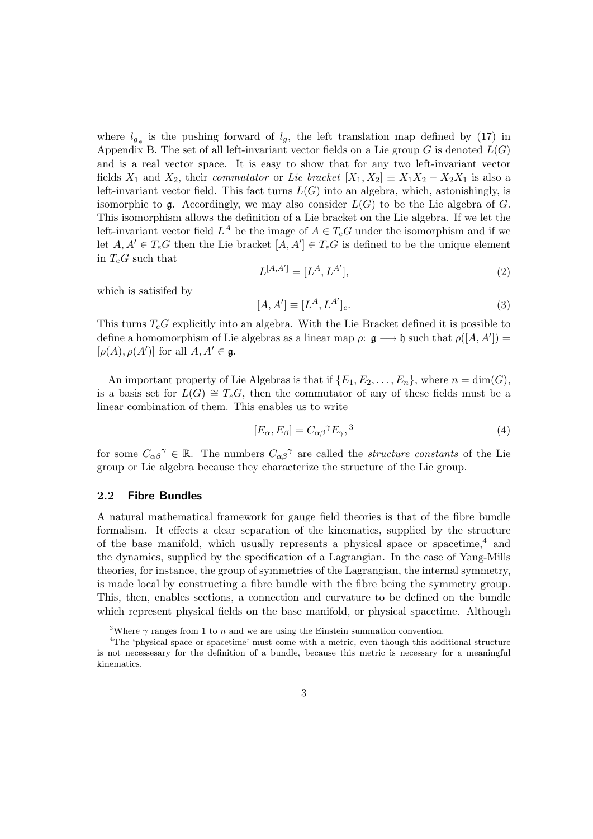where  $l_{g*}$  is the pushing forward of  $l_g$ , the left translation map defined by (17) in Appendix B. The set of all left-invariant vector fields on a Lie group  $G$  is denoted  $L(G)$ and is a real vector space. It is easy to show that for any two left-invariant vector fields  $X_1$  and  $X_2$ , their *commutator* or *Lie bracket*  $[X_1, X_2] \equiv X_1 X_2 - X_2 X_1$  is also a left-invariant vector field. This fact turns  $L(G)$  into an algebra, which, astonishingly, is isomorphic to  $\mathfrak g$ . Accordingly, we may also consider  $L(G)$  to be the Lie algebra of G. This isomorphism allows the definition of a Lie bracket on the Lie algebra. If we let the left-invariant vector field  $L^A$  be the image of  $A \in T_eG$  under the isomorphism and if we let  $A, A' \in T_eG$  then the Lie bracket  $[A, A'] \in T_eG$  is defined to be the unique element in  $T_eG$  such that

$$
L^{[A,A']} = [L^A, L^{A'}],\tag{2}
$$

which is satisifed by

$$
[A, A'] \equiv [L^A, L^{A'}]_e. \tag{3}
$$

This turns  $T_eG$  explicitly into an algebra. With the Lie Bracket defined it is possible to define a homomorphism of Lie algebras as a linear map  $\rho: \mathfrak{g} \longrightarrow \mathfrak{h}$  such that  $\rho([A, A']) =$  $[\rho(A), \rho(A')]$  for all  $A, A' \in \mathfrak{g}.$ 

An important property of Lie Algebras is that if  $\{E_1, E_2, \ldots, E_n\}$ , where  $n = \dim(G)$ , is a basis set for  $L(G) \cong T_eG$ , then the commutator of any of these fields must be a linear combination of them. This enables us to write

$$
[E_{\alpha}, E_{\beta}] = C_{\alpha\beta}{}^{\gamma} E_{\gamma},^3
$$
\n<sup>(4)</sup>

for some  $C_{\alpha\beta}^{\gamma} \in \mathbb{R}$ . The numbers  $C_{\alpha\beta}^{\gamma}$  are called the *structure constants* of the Lie group or Lie algebra because they characterize the structure of the Lie group.

### 2.2 Fibre Bundles

A natural mathematical framework for gauge field theories is that of the fibre bundle formalism. It effects a clear separation of the kinematics, supplied by the structure of the base manifold, which usually represents a physical space or spacetime,<sup>4</sup> and the dynamics, supplied by the specification of a Lagrangian. In the case of Yang-Mills theories, for instance, the group of symmetries of the Lagrangian, the internal symmetry, is made local by constructing a fibre bundle with the fibre being the symmetry group. This, then, enables sections, a connection and curvature to be defined on the bundle which represent physical fields on the base manifold, or physical spacetime. Although

<sup>&</sup>lt;sup>3</sup>Where  $\gamma$  ranges from 1 to n and we are using the Einstein summation convention.

<sup>&</sup>lt;sup>4</sup>The 'physical space or spacetime' must come with a metric, even though this additional structure is not necessesary for the definition of a bundle, because this metric is necessary for a meaningful kinematics.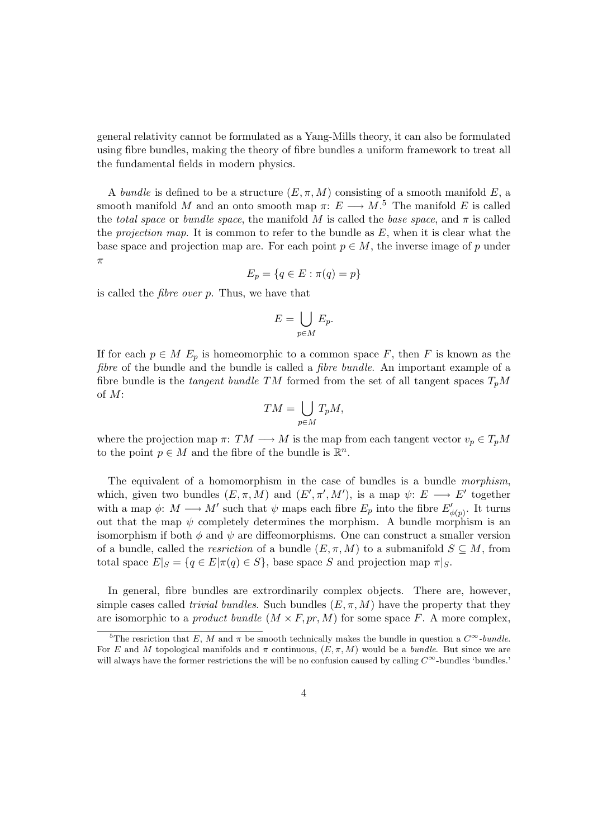general relativity cannot be formulated as a Yang-Mills theory, it can also be formulated using fibre bundles, making the theory of fibre bundles a uniform framework to treat all the fundamental fields in modern physics.

A bundle is defined to be a structure  $(E, \pi, M)$  consisting of a smooth manifold E, a smooth manifold M and an onto smooth map  $\pi: E \longrightarrow M$ .<sup>5</sup> The manifold E is called the total space or bundle space, the manifold M is called the base space, and  $\pi$  is called the projection map. It is common to refer to the bundle as  $E$ , when it is clear what the base space and projection map are. For each point  $p \in M$ , the inverse image of p under π

$$
E_p = \{q \in E : \pi(q) = p\}
$$

is called the fibre over p. Thus, we have that

$$
E=\bigcup_{p\in M}E_p.
$$

If for each  $p \in M$   $E_p$  is homeomorphic to a common space F, then F is known as the fibre of the bundle and the bundle is called a *fibre bundle*. An important example of a fibre bundle is the *tangent bundle TM* formed from the set of all tangent spaces  $T_pM$ of M:

$$
TM = \bigcup_{p \in M} T_p M,
$$

where the projection map  $\pi: TM \longrightarrow M$  is the map from each tangent vector  $v_p \in T_pM$ to the point  $p \in M$  and the fibre of the bundle is  $\mathbb{R}^n$ .

The equivalent of a homomorphism in the case of bundles is a bundle morphism, which, given two bundles  $(E, \pi, M)$  and  $(E', \pi', M')$ , is a map  $\psi: E \longrightarrow E'$  together with a map  $\phi: M \longrightarrow M'$  such that  $\psi$  maps each fibre  $E_p$  into the fibre  $E'_{\phi(p)}$ . It turns out that the map  $\psi$  completely determines the morphism. A bundle morphism is an isomorphism if both  $\phi$  and  $\psi$  are diffeomorphisms. One can construct a smaller version of a bundle, called the *resriction* of a bundle  $(E, \pi, M)$  to a submanifold  $S \subseteq M$ , from total space  $E|_S = \{q \in E | \pi(q) \in S\}$ , base space S and projection map  $\pi|_S$ .

In general, fibre bundles are extrordinarily complex objects. There are, however, simple cases called *trivial bundles*. Such bundles  $(E, \pi, M)$  have the property that they are isomorphic to a *product bundle*  $(M \times F, pr, M)$  for some space F. A more complex,

<sup>&</sup>lt;sup>5</sup>The resriction that E, M and  $\pi$  be smooth technically makes the bundle in question a  $C^{\infty}$ -bundle. For E and M topological manifolds and  $\pi$  continuous,  $(E, \pi, M)$  would be a bundle. But since we are will always have the former restrictions the will be no confusion caused by calling  $C^{\infty}$ -bundles 'bundles.'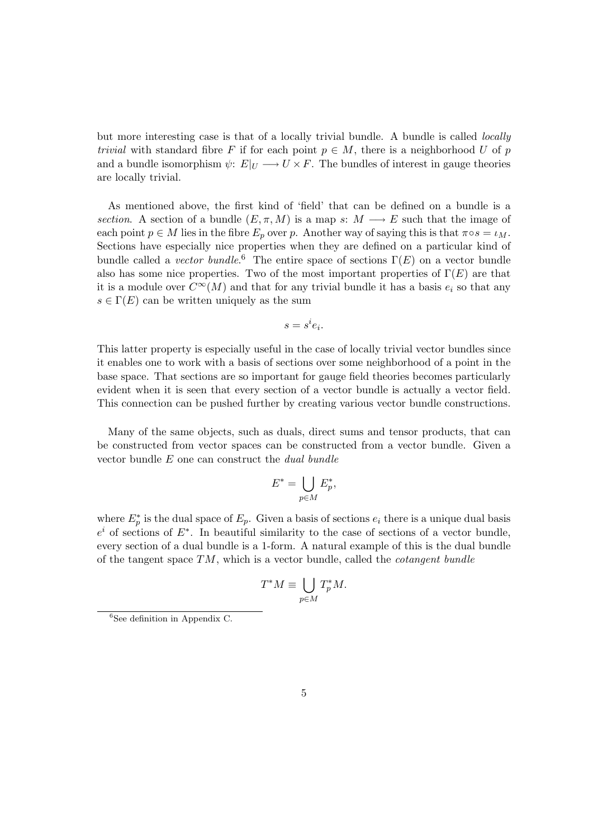but more interesting case is that of a locally trivial bundle. A bundle is called locally trivial with standard fibre F if for each point  $p \in M$ , there is a neighborhood U of p and a bundle isomorphism  $\psi: E|_U \longrightarrow U \times F$ . The bundles of interest in gauge theories are locally trivial.

As mentioned above, the first kind of 'field' that can be defined on a bundle is a section. A section of a bundle  $(E, \pi, M)$  is a map s:  $M \longrightarrow E$  such that the image of each point  $p \in M$  lies in the fibre  $E_p$  over p. Another way of saying this is that  $\pi \circ s = \iota_M$ . Sections have especially nice properties when they are defined on a particular kind of bundle called a vector bundle.<sup>6</sup> The entire space of sections  $\Gamma(E)$  on a vector bundle also has some nice properties. Two of the most important properties of  $\Gamma(E)$  are that it is a module over  $C^{\infty}(M)$  and that for any trivial bundle it has a basis  $e_i$  so that any  $s \in \Gamma(E)$  can be written uniquely as the sum

$$
s = s^i e_i.
$$

This latter property is especially useful in the case of locally trivial vector bundles since it enables one to work with a basis of sections over some neighborhood of a point in the base space. That sections are so important for gauge field theories becomes particularly evident when it is seen that every section of a vector bundle is actually a vector field. This connection can be pushed further by creating various vector bundle constructions.

Many of the same objects, such as duals, direct sums and tensor products, that can be constructed from vector spaces can be constructed from a vector bundle. Given a vector bundle E one can construct the dual bundle

$$
E^* = \bigcup_{p \in M} E_p^*,
$$

where  $E_p^*$  is the dual space of  $E_p$ . Given a basis of sections  $e_i$  there is a unique dual basis  $e^i$  of sections of  $E^*$ . In beautiful similarity to the case of sections of a vector bundle, every section of a dual bundle is a 1-form. A natural example of this is the dual bundle of the tangent space  $TM$ , which is a vector bundle, called the *cotangent bundle* 

$$
T^*M \equiv \bigcup_{p \in M} T_p^*M.
$$

 ${}^{6}$ See definition in Appendix C.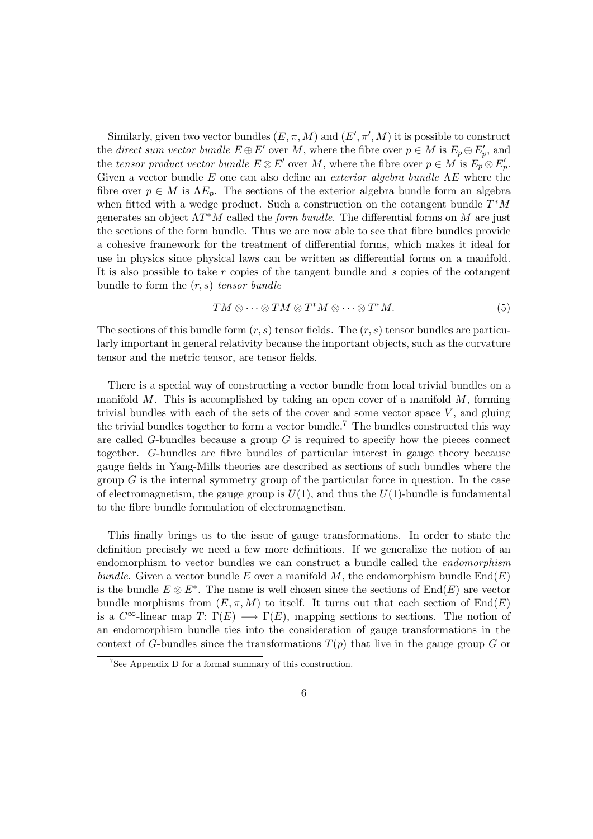Similarly, given two vector bundles  $(E, \pi, M)$  and  $(E', \pi', M)$  it is possible to construct the direct sum vector bundle  $E \oplus E'$  over M, where the fibre over  $p \in M$  is  $E_p \oplus E'_p$ , and the tensor product vector bundle  $E \otimes E'$  over M, where the fibre over  $p \in M$  is  $E_p \otimes E_p'$ . Given a vector bundle  $E$  one can also define an *exterior algebra bundle*  $\Lambda E$  where the fibre over  $p \in M$  is  $\Lambda E_p$ . The sections of the exterior algebra bundle form an algebra when fitted with a wedge product. Such a construction on the cotangent bundle  $T^*M$ generates an object  $\Lambda T^*M$  called the *form bundle*. The differential forms on M are just the sections of the form bundle. Thus we are now able to see that fibre bundles provide a cohesive framework for the treatment of differential forms, which makes it ideal for use in physics since physical laws can be written as differential forms on a manifold. It is also possible to take  $r$  copies of the tangent bundle and  $s$  copies of the cotangent bundle to form the  $(r, s)$  tensor bundle

$$
TM \otimes \cdots \otimes TM \otimes T^*M \otimes \cdots \otimes T^*M. \tag{5}
$$

The sections of this bundle form  $(r, s)$  tensor fields. The  $(r, s)$  tensor bundles are particularly important in general relativity because the important objects, such as the curvature tensor and the metric tensor, are tensor fields.

There is a special way of constructing a vector bundle from local trivial bundles on a manifold M. This is accomplished by taking an open cover of a manifold  $M$ , forming trivial bundles with each of the sets of the cover and some vector space  $V$ , and gluing the trivial bundles together to form a vector bundle.<sup>7</sup> The bundles constructed this way are called  $G$ -bundles because a group  $G$  is required to specify how the pieces connect together. G-bundles are fibre bundles of particular interest in gauge theory because gauge fields in Yang-Mills theories are described as sections of such bundles where the group  $G$  is the internal symmetry group of the particular force in question. In the case of electromagnetism, the gauge group is  $U(1)$ , and thus the  $U(1)$ -bundle is fundamental to the fibre bundle formulation of electromagnetism.

This finally brings us to the issue of gauge transformations. In order to state the definition precisely we need a few more definitions. If we generalize the notion of an endomorphism to vector bundles we can construct a bundle called the endomorphism bundle. Given a vector bundle E over a manifold M, the endomorphism bundle  $End(E)$ is the bundle  $E \otimes E^*$ . The name is well chosen since the sections of  $End(E)$  are vector bundle morphisms from  $(E, \pi, M)$  to itself. It turns out that each section of  $End(E)$ is a  $C^{\infty}$ -linear map  $T: \Gamma(E) \longrightarrow \Gamma(E)$ , mapping sections to sections. The notion of an endomorphism bundle ties into the consideration of gauge transformations in the context of G-bundles since the transformations  $T(p)$  that live in the gauge group G or

 $^7$  See Appendix D for a formal summary of this construction.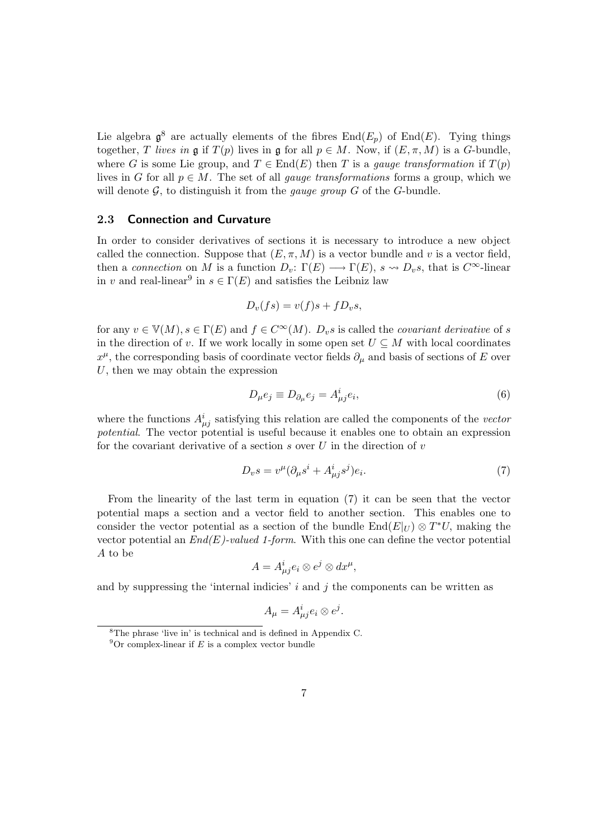Lie algebra  $\mathfrak{g}^8$  are actually elements of the fibres  $\text{End}(E_p)$  of  $\text{End}(E)$ . Tying things together, T lives in g if  $T(p)$  lives in g for all  $p \in M$ . Now, if  $(E, \pi, M)$  is a G-bundle, where G is some Lie group, and  $T \in End(E)$  then T is a *gauge transformation* if  $T(p)$ lives in G for all  $p \in M$ . The set of all *gauge transformations* forms a group, which we will denote  $G$ , to distinguish it from the *gauge group*  $G$  of the  $G$ -bundle.

#### 2.3 Connection and Curvature

In order to consider derivatives of sections it is necessary to introduce a new object called the connection. Suppose that  $(E, \pi, M)$  is a vector bundle and v is a vector field, then a connection on M is a function  $D_v: \Gamma(E) \longrightarrow \Gamma(E)$ ,  $s \rightsquigarrow D_v s$ , that is  $C^{\infty}$ -linear in v and real-linear<sup>9</sup> in  $s \in \Gamma(E)$  and satisfies the Leibniz law

$$
D_v(fs) = v(f)s + fD_v s,
$$

for any  $v \in \mathbb{V}(M), s \in \Gamma(E)$  and  $f \in C^{\infty}(M)$ .  $D_v s$  is called the *covariant derivative* of s in the direction of v. If we work locally in some open set  $U \subseteq M$  with local coordinates  $x^{\mu}$ , the corresponding basis of coordinate vector fields  $\partial_{\mu}$  and basis of sections of E over  $U$ , then we may obtain the expression

$$
D_{\mu}e_j \equiv D_{\partial_{\mu}}e_j = A^i_{\mu j}e_i,\tag{6}
$$

where the functions  $A^i_{\mu j}$  satisfying this relation are called the components of the vector potential. The vector potential is useful because it enables one to obtain an expression for the covariant derivative of a section  $s$  over  $U$  in the direction of  $v$ 

$$
D_v s = v^{\mu} (\partial_{\mu} s^i + A^i_{\mu j} s^j) e_i.
$$
\n<sup>(7)</sup>

From the linearity of the last term in equation (7) it can be seen that the vector potential maps a section and a vector field to another section. This enables one to consider the vector potential as a section of the bundle  $\text{End}(E|_U) \otimes T^*U$ , making the vector potential an  $End(E)$ -valued 1-form. With this one can define the vector potential A to be

$$
A = A^i_{\mu j} e_i \otimes e^j \otimes dx^\mu,
$$

and by suppressing the 'internal indicies'  $i$  and  $j$  the components can be written as

$$
A_{\mu} = A_{\mu j}^{i} e_{i} \otimes e^{j}.
$$

<sup>8</sup>The phrase 'live in' is technical and is defined in Appendix C.

 $9^9$ Or complex-linear if E is a complex vector bundle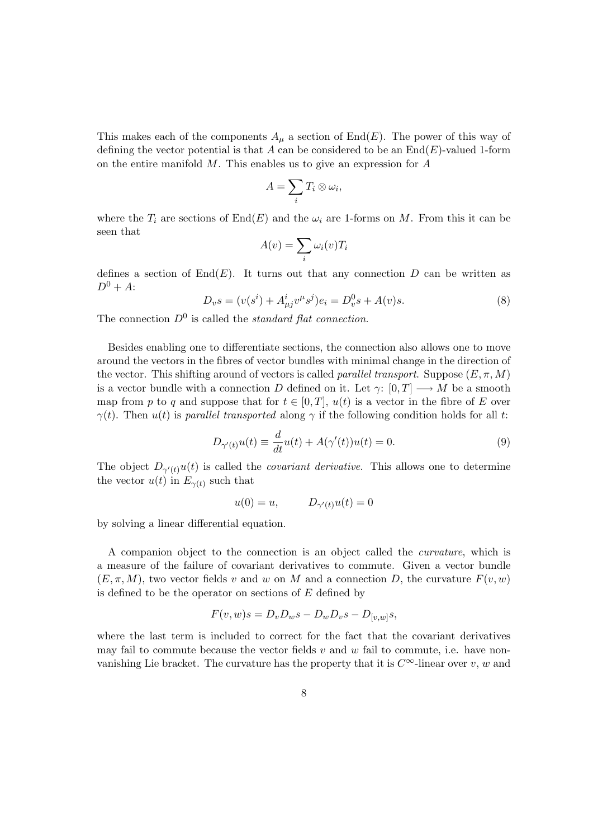This makes each of the components  $A_\mu$  a section of End(E). The power of this way of defining the vector potential is that A can be considered to be an  $\text{End}(E)$ -valued 1-form on the entire manifold M. This enables us to give an expression for A

$$
A=\sum_i T_i\otimes\omega_i,
$$

where the  $T_i$  are sections of  $End(E)$  and the  $\omega_i$  are 1-forms on M. From this it can be seen that

$$
A(v) = \sum_{i} \omega_i(v) T_i
$$

defines a section of  $End(E)$ . It turns out that any connection D can be written as  $D^0 + A$ :

$$
D_v s = (v(s^i) + A^i_{\mu j} v^{\mu} s^j) e_i = D_v^0 s + A(v) s.
$$
\n(8)

The connection  $D^0$  is called the *standard flat connection*.

Besides enabling one to differentiate sections, the connection also allows one to move around the vectors in the fibres of vector bundles with minimal change in the direction of the vector. This shifting around of vectors is called *parallel transport*. Suppose  $(E, \pi, M)$ is a vector bundle with a connection D defined on it. Let  $\gamma: [0, T] \longrightarrow M$  be a smooth map from p to q and suppose that for  $t \in [0, T]$ ,  $u(t)$  is a vector in the fibre of E over  $\gamma(t)$ . Then  $u(t)$  is parallel transported along  $\gamma$  if the following condition holds for all t:

$$
D_{\gamma'(t)}u(t) \equiv \frac{d}{dt}u(t) + A(\gamma'(t))u(t) = 0.
$$
\n(9)

The object  $D_{\gamma'(t)}u(t)$  is called the *covariant derivative*. This allows one to determine the vector  $u(t)$  in  $E_{\gamma(t)}$  such that

$$
u(0) = u, \qquad D_{\gamma'(t)}u(t) = 0
$$

by solving a linear differential equation.

A companion object to the connection is an object called the curvature, which is a measure of the failure of covariant derivatives to commute. Given a vector bundle  $(E, \pi, M)$ , two vector fields v and w on M and a connection D, the curvature  $F(v, w)$ is defined to be the operator on sections of  $E$  defined by

$$
F(v, w)s = D_v D_w s - D_w D_v s - D_{[v, w]} s,
$$

where the last term is included to correct for the fact that the covariant derivatives may fail to commute because the vector fields  $v$  and  $w$  fail to commute, i.e. have nonvanishing Lie bracket. The curvature has the property that it is  $C^{\infty}$ -linear over v, w and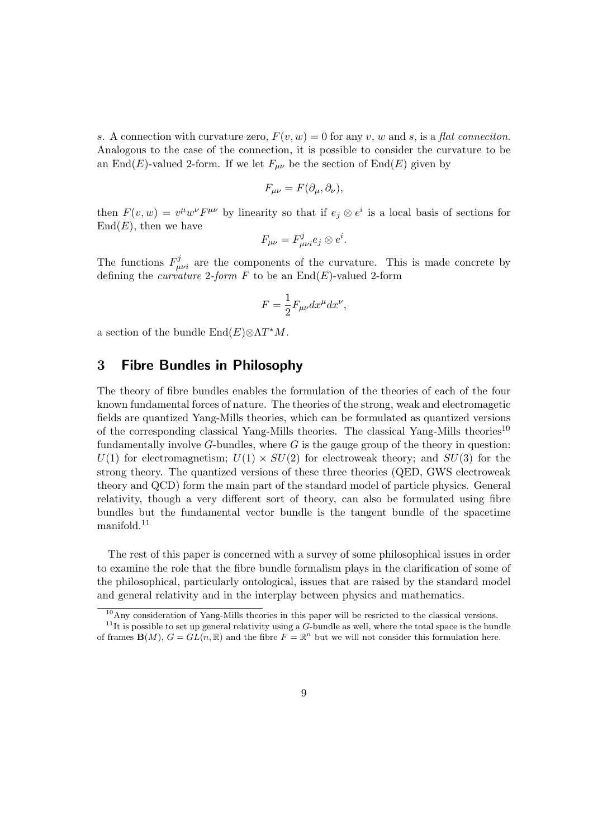s. A connection with curvature zero,  $F(v, w) = 0$  for any v, w and s, is a flat connection. Analogous to the case of the connection, it is possible to consider the curvature to be an End(E)-valued 2-form. If we let  $F_{\mu\nu}$  be the section of End(E) given by

$$
F_{\mu\nu} = F(\partial_{\mu}, \partial_{\nu}),
$$

then  $F(v, w) = v^{\mu}w^{\nu}F^{\mu\nu}$  by linearity so that if  $e_j \otimes e^i$  is a local basis of sections for  $End(E)$ , then we have

$$
F_{\mu\nu} = F_{\mu\nu i}^j e_j \otimes e^i.
$$

The functions  $F^j_{\mu\nu i}$  are the components of the curvature. This is made concrete by defining the *curvature* 2-form  $F$  to be an  $\text{End}(E)$ -valued 2-form

$$
F = \frac{1}{2} F_{\mu\nu} dx^{\mu} dx^{\nu},
$$

a section of the bundle  $\text{End}(E) \otimes \Lambda T^*M$ .

### 3 Fibre Bundles in Philosophy

The theory of fibre bundles enables the formulation of the theories of each of the four known fundamental forces of nature. The theories of the strong, weak and electromagetic fields are quantized Yang-Mills theories, which can be formulated as quantized versions of the corresponding classical Yang-Mills theories. The classical Yang-Mills theories<sup>10</sup> fundamentally involve  $G$ -bundles, where  $G$  is the gauge group of the theory in question:  $U(1)$  for electromagnetism;  $U(1) \times SU(2)$  for electroweak theory; and  $SU(3)$  for the strong theory. The quantized versions of these three theories (QED, GWS electroweak theory and QCD) form the main part of the standard model of particle physics. General relativity, though a very different sort of theory, can also be formulated using fibre bundles but the fundamental vector bundle is the tangent bundle of the spacetime manifold.<sup>11</sup>

The rest of this paper is concerned with a survey of some philosophical issues in order to examine the role that the fibre bundle formalism plays in the clarification of some of the philosophical, particularly ontological, issues that are raised by the standard model and general relativity and in the interplay between physics and mathematics.

 $10$ Any consideration of Yang-Mills theories in this paper will be resricted to the classical versions.  $11$ It is possible to set up general relativity using a G-bundle as well, where the total space is the bundle of frames  $\mathbf{B}(M)$ ,  $G = GL(n, \mathbb{R})$  and the fibre  $F = \mathbb{R}^n$  but we will not consider this formulation here.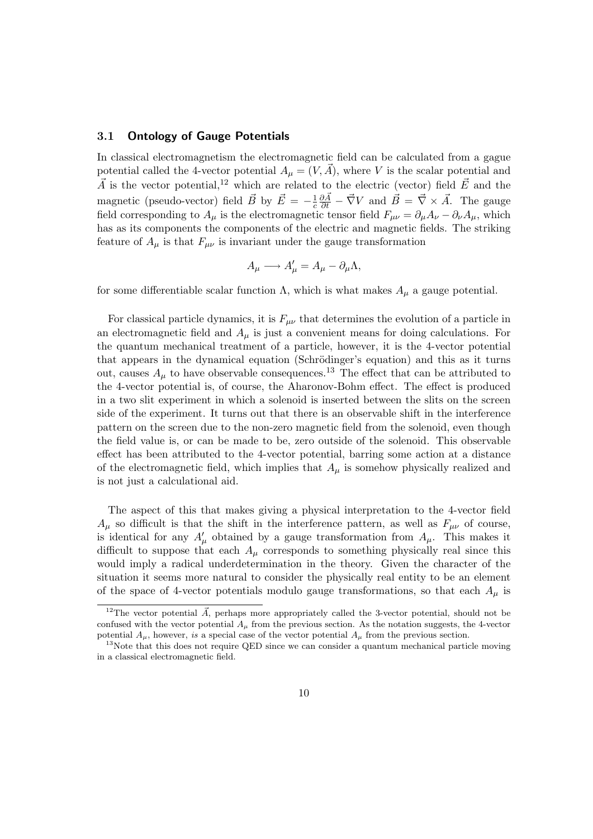#### 3.1 Ontology of Gauge Potentials

In classical electromagnetism the electromagnetic field can be calculated from a gague potential called the 4-vector potential  $A_u = (V, \vec{A})$ , where V is the scalar potential and  $\vec{A}$  is the vector potential,<sup>12</sup> which are related to the electric (vector) field  $\vec{E}$  and the magnetic (pseudo-vector) field  $\vec{B}$  by  $\vec{E} = -\frac{1}{c}$ c  $\frac{\partial \vec{A}}{\partial t} - \vec{\nabla}V$  and  $\vec{B} = \vec{\nabla} \times \vec{A}$ . The gauge field corresponding to  $A_\mu$  is the electromagnetic tensor field  $F_{\mu\nu} = \partial_\mu A_\nu - \partial_\nu A_\mu$ , which has as its components the components of the electric and magnetic fields. The striking feature of  $A_\mu$  is that  $F_{\mu\nu}$  is invariant under the gauge transformation

$$
A_{\mu} \longrightarrow A'_{\mu} = A_{\mu} - \partial_{\mu} \Lambda,
$$

for some differentiable scalar function  $\Lambda$ , which is what makes  $A_{\mu}$  a gauge potential.

For classical particle dynamics, it is  $F_{\mu\nu}$  that determines the evolution of a particle in an electromagnetic field and  $A_\mu$  is just a convenient means for doing calculations. For the quantum mechanical treatment of a particle, however, it is the 4-vector potential that appears in the dynamical equation (Schrödinger's equation) and this as it turns out, causes  $A_{\mu}$  to have observable consequences.<sup>13</sup> The effect that can be attributed to the 4-vector potential is, of course, the Aharonov-Bohm effect. The effect is produced in a two slit experiment in which a solenoid is inserted between the slits on the screen side of the experiment. It turns out that there is an observable shift in the interference pattern on the screen due to the non-zero magnetic field from the solenoid, even though the field value is, or can be made to be, zero outside of the solenoid. This observable effect has been attributed to the 4-vector potential, barring some action at a distance of the electromagnetic field, which implies that  $A_\mu$  is somehow physically realized and is not just a calculational aid.

The aspect of this that makes giving a physical interpretation to the 4-vector field  $A_{\mu}$  so difficult is that the shift in the interference pattern, as well as  $F_{\mu\nu}$  of course, is identical for any  $A'_{\mu}$  obtained by a gauge transformation from  $A_{\mu}$ . This makes it difficult to suppose that each  $A_\mu$  corresponds to something physically real since this would imply a radical underdetermination in the theory. Given the character of the situation it seems more natural to consider the physically real entity to be an element of the space of 4-vector potentials modulo gauge transformations, so that each  $A_\mu$  is

<sup>&</sup>lt;sup>12</sup>The vector potential  $\vec{A}$ , perhaps more appropriately called the 3-vector potential, should not be confused with the vector potential  $A_\mu$  from the previous section. As the notation suggests, the 4-vector potential  $A_\mu$ , however, is a special case of the vector potential  $A_\mu$  from the previous section.

<sup>&</sup>lt;sup>13</sup>Note that this does not require QED since we can consider a quantum mechanical particle moving in a classical electromagnetic field.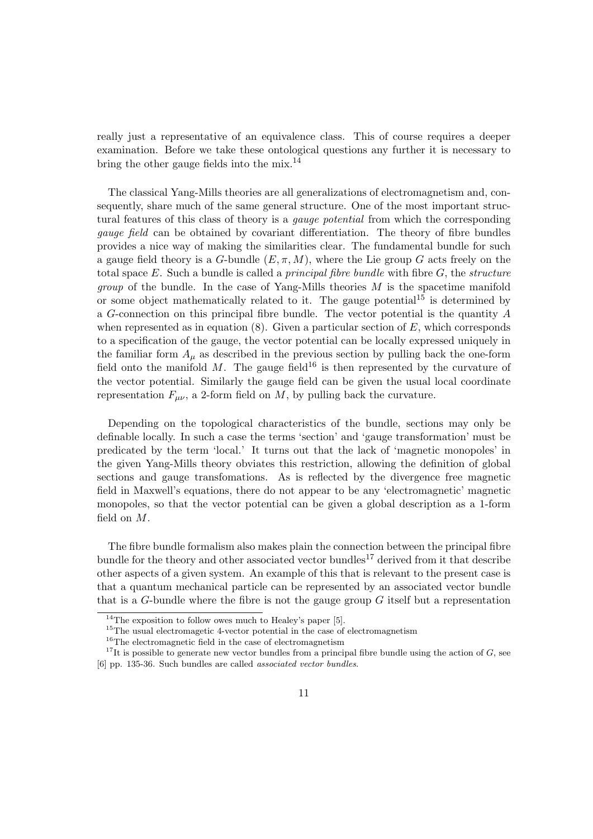really just a representative of an equivalence class. This of course requires a deeper examination. Before we take these ontological questions any further it is necessary to bring the other gauge fields into the mix.<sup>14</sup>

The classical Yang-Mills theories are all generalizations of electromagnetism and, consequently, share much of the same general structure. One of the most important structural features of this class of theory is a *qauge potential* from which the corresponding gauge field can be obtained by covariant differentiation. The theory of fibre bundles provides a nice way of making the similarities clear. The fundamental bundle for such a gauge field theory is a G-bundle  $(E, \pi, M)$ , where the Lie group G acts freely on the total space  $E$ . Such a bundle is called a *principal fibre bundle* with fibre  $G$ , the *structure group* of the bundle. In the case of Yang-Mills theories  $M$  is the spacetime manifold or some object mathematically related to it. The gauge potential<sup>15</sup> is determined by a G-connection on this principal fibre bundle. The vector potential is the quantity A when represented as in equation  $(8)$ . Given a particular section of E, which corresponds to a specification of the gauge, the vector potential can be locally expressed uniquely in the familiar form  $A_{\mu}$  as described in the previous section by pulling back the one-form field onto the manifold M. The gauge field<sup>16</sup> is then represented by the curvature of the vector potential. Similarly the gauge field can be given the usual local coordinate representation  $F_{\mu\nu}$ , a 2-form field on M, by pulling back the curvature.

Depending on the topological characteristics of the bundle, sections may only be definable locally. In such a case the terms 'section' and 'gauge transformation' must be predicated by the term 'local.' It turns out that the lack of 'magnetic monopoles' in the given Yang-Mills theory obviates this restriction, allowing the definition of global sections and gauge transfomations. As is reflected by the divergence free magnetic field in Maxwell's equations, there do not appear to be any 'electromagnetic' magnetic monopoles, so that the vector potential can be given a global description as a 1-form field on M.

The fibre bundle formalism also makes plain the connection between the principal fibre bundle for the theory and other associated vector bundles<sup>17</sup> derived from it that describe other aspects of a given system. An example of this that is relevant to the present case is that a quantum mechanical particle can be represented by an associated vector bundle that is a G-bundle where the fibre is not the gauge group  $G$  itself but a representation

<sup>&</sup>lt;sup>14</sup>The exposition to follow owes much to Healey's paper [5].

<sup>&</sup>lt;sup>15</sup>The usual electromagetic 4-vector potential in the case of electromagnetism

<sup>16</sup>The electromagnetic field in the case of electromagnetism

<sup>&</sup>lt;sup>17</sup>It is possible to generate new vector bundles from a principal fibre bundle using the action of  $G$ , see [6] pp. 135-36. Such bundles are called associated vector bundles.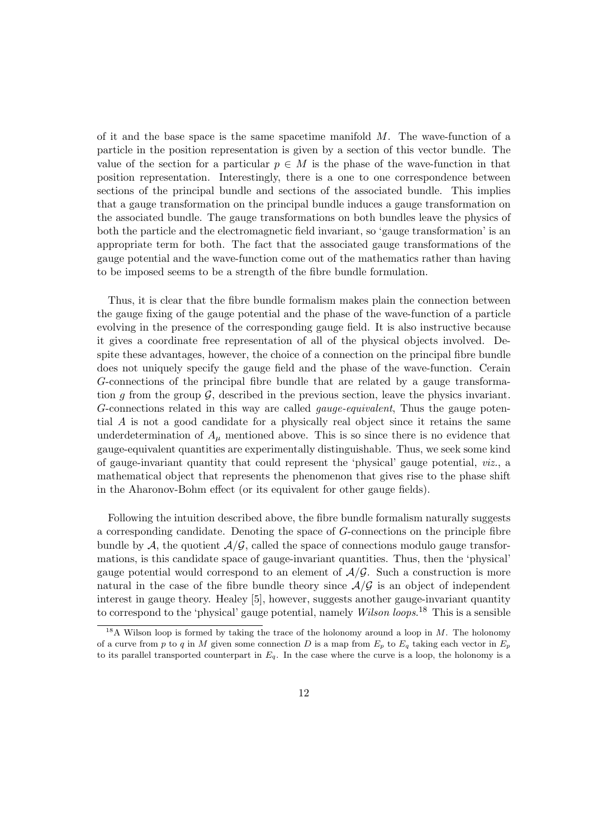of it and the base space is the same spacetime manifold  $M$ . The wave-function of a particle in the position representation is given by a section of this vector bundle. The value of the section for a particular  $p \in M$  is the phase of the wave-function in that position representation. Interestingly, there is a one to one correspondence between sections of the principal bundle and sections of the associated bundle. This implies that a gauge transformation on the principal bundle induces a gauge transformation on the associated bundle. The gauge transformations on both bundles leave the physics of both the particle and the electromagnetic field invariant, so 'gauge transformation' is an appropriate term for both. The fact that the associated gauge transformations of the gauge potential and the wave-function come out of the mathematics rather than having to be imposed seems to be a strength of the fibre bundle formulation.

Thus, it is clear that the fibre bundle formalism makes plain the connection between the gauge fixing of the gauge potential and the phase of the wave-function of a particle evolving in the presence of the corresponding gauge field. It is also instructive because it gives a coordinate free representation of all of the physical objects involved. Despite these advantages, however, the choice of a connection on the principal fibre bundle does not uniquely specify the gauge field and the phase of the wave-function. Cerain G-connections of the principal fibre bundle that are related by a gauge transformation q from the group  $\mathcal{G}$ , described in the previous section, leave the physics invariant. G-connections related in this way are called gauge-equivalent, Thus the gauge potential A is not a good candidate for a physically real object since it retains the same underdetermination of  $A_\mu$  mentioned above. This is so since there is no evidence that gauge-equivalent quantities are experimentally distinguishable. Thus, we seek some kind of gauge-invariant quantity that could represent the 'physical' gauge potential, viz., a mathematical object that represents the phenomenon that gives rise to the phase shift in the Aharonov-Bohm effect (or its equivalent for other gauge fields).

Following the intuition described above, the fibre bundle formalism naturally suggests a corresponding candidate. Denoting the space of G-connections on the principle fibre bundle by  $A$ , the quotient  $A/G$ , called the space of connections modulo gauge transformations, is this candidate space of gauge-invariant quantities. Thus, then the 'physical' gauge potential would correspond to an element of  $\mathcal{A}/\mathcal{G}$ . Such a construction is more natural in the case of the fibre bundle theory since  $\mathcal{A}/\mathcal{G}$  is an object of independent interest in gauge theory. Healey [5], however, suggests another gauge-invariant quantity to correspond to the 'physical' gauge potential, namely *Wilson loops*.<sup>18</sup> This is a sensible

<sup>&</sup>lt;sup>18</sup>A Wilson loop is formed by taking the trace of the holonomy around a loop in  $M$ . The holonomy of a curve from p to q in M given some connection D is a map from  $E_p$  to  $E_q$  taking each vector in  $E_p$ to its parallel transported counterpart in  $E_q$ . In the case where the curve is a loop, the holonomy is a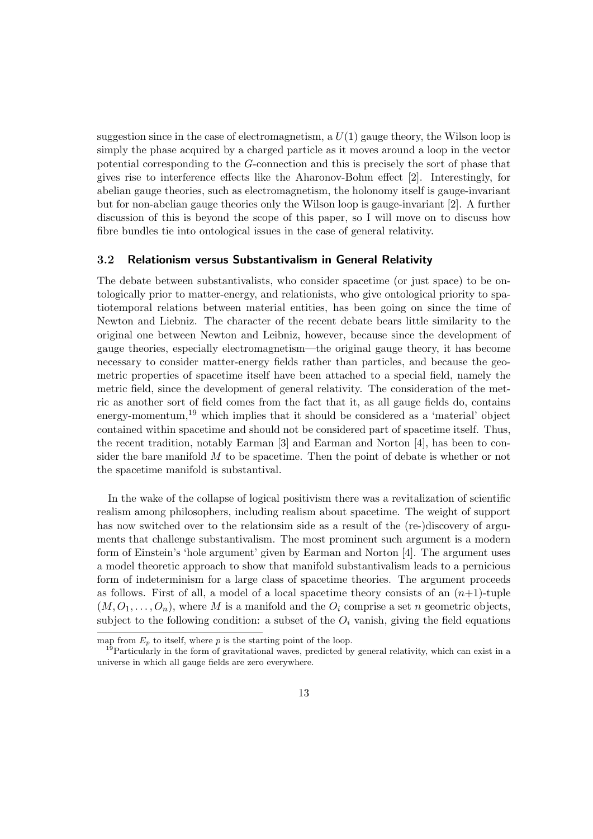suggestion since in the case of electromagnetism, a  $U(1)$  gauge theory, the Wilson loop is simply the phase acquired by a charged particle as it moves around a loop in the vector potential corresponding to the G-connection and this is precisely the sort of phase that gives rise to interference effects like the Aharonov-Bohm effect [2]. Interestingly, for abelian gauge theories, such as electromagnetism, the holonomy itself is gauge-invariant but for non-abelian gauge theories only the Wilson loop is gauge-invariant [2]. A further discussion of this is beyond the scope of this paper, so I will move on to discuss how fibre bundles tie into ontological issues in the case of general relativity.

#### 3.2 Relationism versus Substantivalism in General Relativity

The debate between substantivalists, who consider spacetime (or just space) to be ontologically prior to matter-energy, and relationists, who give ontological priority to spatiotemporal relations between material entities, has been going on since the time of Newton and Liebniz. The character of the recent debate bears little similarity to the original one between Newton and Leibniz, however, because since the development of gauge theories, especially electromagnetism—the original gauge theory, it has become necessary to consider matter-energy fields rather than particles, and because the geometric properties of spacetime itself have been attached to a special field, namely the metric field, since the development of general relativity. The consideration of the metric as another sort of field comes from the fact that it, as all gauge fields do, contains energy-momentum, $^{19}$  which implies that it should be considered as a 'material' object contained within spacetime and should not be considered part of spacetime itself. Thus, the recent tradition, notably Earman [3] and Earman and Norton [4], has been to consider the bare manifold  $M$  to be spacetime. Then the point of debate is whether or not the spacetime manifold is substantival.

In the wake of the collapse of logical positivism there was a revitalization of scientific realism among philosophers, including realism about spacetime. The weight of support has now switched over to the relationsim side as a result of the (re-)discovery of arguments that challenge substantivalism. The most prominent such argument is a modern form of Einstein's 'hole argument' given by Earman and Norton [4]. The argument uses a model theoretic approach to show that manifold substantivalism leads to a pernicious form of indeterminism for a large class of spacetime theories. The argument proceeds as follows. First of all, a model of a local spacetime theory consists of an  $(n+1)$ -tuple  $(M, O_1, \ldots, O_n)$ , where M is a manifold and the  $O_i$  comprise a set n geometric objects, subject to the following condition: a subset of the  $O_i$  vanish, giving the field equations

map from  $E_n$  to itself, where p is the starting point of the loop.

<sup>&</sup>lt;sup>19</sup>Particularly in the form of gravitational waves, predicted by general relativity, which can exist in a universe in which all gauge fields are zero everywhere.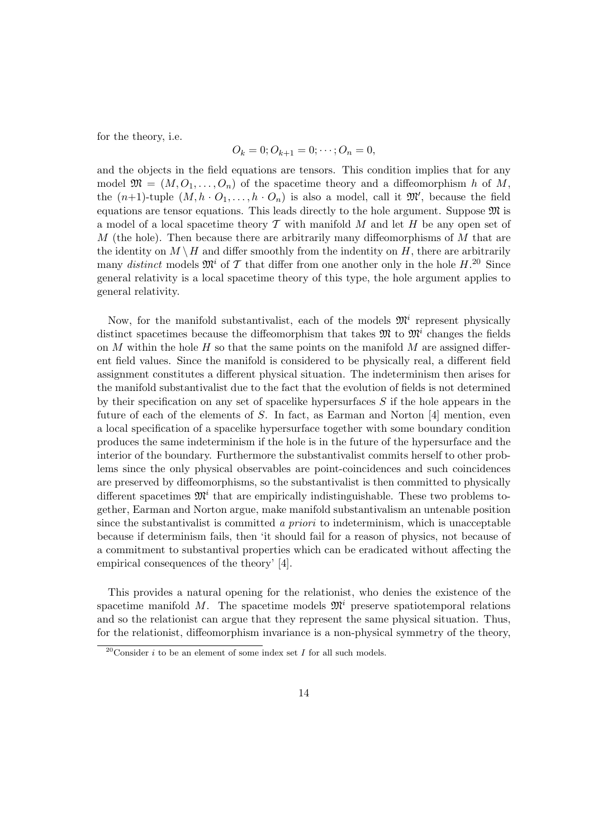for the theory, i.e.

$$
O_k = 0; O_{k+1} = 0; \cdots; O_n = 0,
$$

and the objects in the field equations are tensors. This condition implies that for any model  $\mathfrak{M} = (M, O_1, \ldots, O_n)$  of the spacetime theory and a diffeomorphism h of M, the  $(n+1)$ -tuple  $(M, h \cdot O_1, \ldots, h \cdot O_n)$  is also a model, call it  $\mathfrak{M}'$ , because the field equations are tensor equations. This leads directly to the hole argument. Suppose  $\mathfrak{M}$  is a model of a local spacetime theory  $\mathcal T$  with manifold  $M$  and let  $H$  be any open set of M (the hole). Then because there are arbitrarily many diffeomorphisms of  $M$  that are the identity on  $M \setminus H$  and differ smoothly from the indentity on H, there are arbitrarily many distinct models  $\mathfrak{M}^i$  of T that differ from one another only in the hole H.<sup>20</sup> Since general relativity is a local spacetime theory of this type, the hole argument applies to general relativity.

Now, for the manifold substantivalist, each of the models  $\mathfrak{M}^i$  represent physically distinct spacetimes because the diffeomorphism that takes  $\mathfrak{M}$  to  $\mathfrak{M}^i$  changes the fields on  $M$  within the hole  $H$  so that the same points on the manifold  $M$  are assigned different field values. Since the manifold is considered to be physically real, a different field assignment constitutes a different physical situation. The indeterminism then arises for the manifold substantivalist due to the fact that the evolution of fields is not determined by their specification on any set of spacelike hypersurfaces  $S$  if the hole appears in the future of each of the elements of S. In fact, as Earman and Norton [4] mention, even a local specification of a spacelike hypersurface together with some boundary condition produces the same indeterminism if the hole is in the future of the hypersurface and the interior of the boundary. Furthermore the substantivalist commits herself to other problems since the only physical observables are point-coincidences and such coincidences are preserved by diffeomorphisms, so the substantivalist is then committed to physically different spacetimes  $\mathfrak{M}^i$  that are empirically indistinguishable. These two problems together, Earman and Norton argue, make manifold substantivalism an untenable position since the substantivalist is committed a priori to indeterminism, which is unacceptable because if determinism fails, then 'it should fail for a reason of physics, not because of a commitment to substantival properties which can be eradicated without affecting the empirical consequences of the theory' [4].

This provides a natural opening for the relationist, who denies the existence of the spacetime manifold M. The spacetime models  $\mathfrak{M}^i$  preserve spatiotemporal relations and so the relationist can argue that they represent the same physical situation. Thus, for the relationist, diffeomorphism invariance is a non-physical symmetry of the theory,

<sup>&</sup>lt;sup>20</sup>Consider *i* to be an element of some index set *I* for all such models.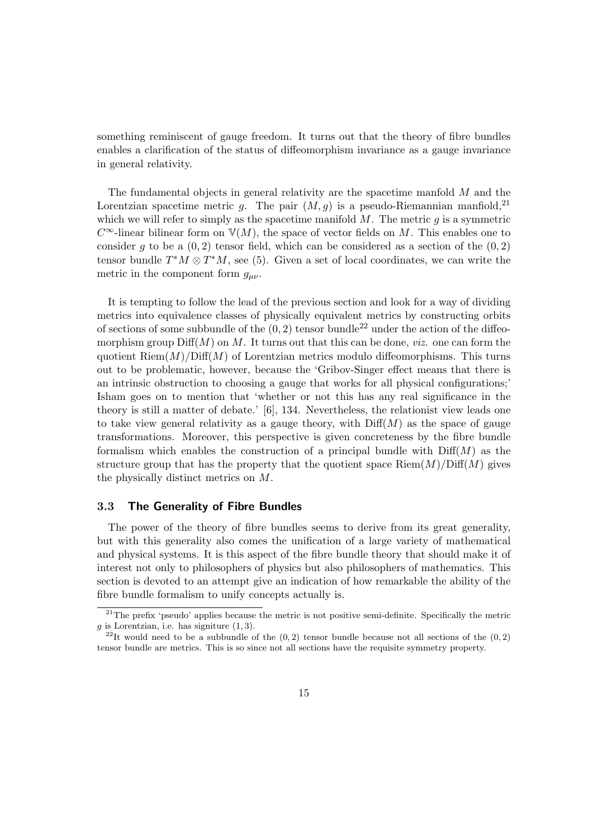something reminiscent of gauge freedom. It turns out that the theory of fibre bundles enables a clarification of the status of diffeomorphism invariance as a gauge invariance in general relativity.

The fundamental objects in general relativity are the spacetime manfold  $M$  and the Lorentzian spacetime metric q. The pair  $(M, q)$  is a pseudo-Riemannian manfiold,<sup>21</sup> which we will refer to simply as the spacetime manifold  $M$ . The metric  $q$  is a symmetric  $C^{\infty}$ -linear bilinear form on  $\mathbb{V}(M)$ , the space of vector fields on M. This enables one to consider g to be a  $(0, 2)$  tensor field, which can be considered as a section of the  $(0, 2)$ tensor bundle  $T^*M \otimes T^*M$ , see (5). Given a set of local coordinates, we can write the metric in the component form  $g_{\mu\nu}$ .

It is tempting to follow the lead of the previous section and look for a way of dividing metrics into equivalence classes of physically equivalent metrics by constructing orbits of sections of some subbundle of the  $(0, 2)$  tensor bundle<sup>22</sup> under the action of the diffeomorphism group  $\text{Diff}(M)$  on M. It turns out that this can be done, *viz.* one can form the quotient  $\text{Riem}(M)/\text{Diff}(M)$  of Lorentzian metrics modulo diffeomorphisms. This turns out to be problematic, however, because the 'Gribov-Singer effect means that there is an intrinsic obstruction to choosing a gauge that works for all physical configurations;' Isham goes on to mention that 'whether or not this has any real significance in the theory is still a matter of debate.' [6], 134. Nevertheless, the relationist view leads one to take view general relativity as a gauge theory, with  $\text{Diff}(M)$  as the space of gauge transformations. Moreover, this perspective is given concreteness by the fibre bundle formalism which enables the construction of a principal bundle with  $\text{Diff}(M)$  as the structure group that has the property that the quotient space  $\text{Riem}(M)/\text{Diff}(M)$  gives the physically distinct metrics on M.

#### 3.3 The Generality of Fibre Bundles

The power of the theory of fibre bundles seems to derive from its great generality, but with this generality also comes the unification of a large variety of mathematical and physical systems. It is this aspect of the fibre bundle theory that should make it of interest not only to philosophers of physics but also philosophers of mathematics. This section is devoted to an attempt give an indication of how remarkable the ability of the fibre bundle formalism to unify concepts actually is.

 $^{21}$ The prefix 'pseudo' applies because the metric is not positive semi-definite. Specifically the metric  $g$  is Lorentzian, i.e. has signiture  $(1, 3)$ .

<sup>&</sup>lt;sup>22</sup>It would need to be a subbundle of the  $(0, 2)$  tensor bundle because not all sections of the  $(0, 2)$ tensor bundle are metrics. This is so since not all sections have the requisite symmetry property.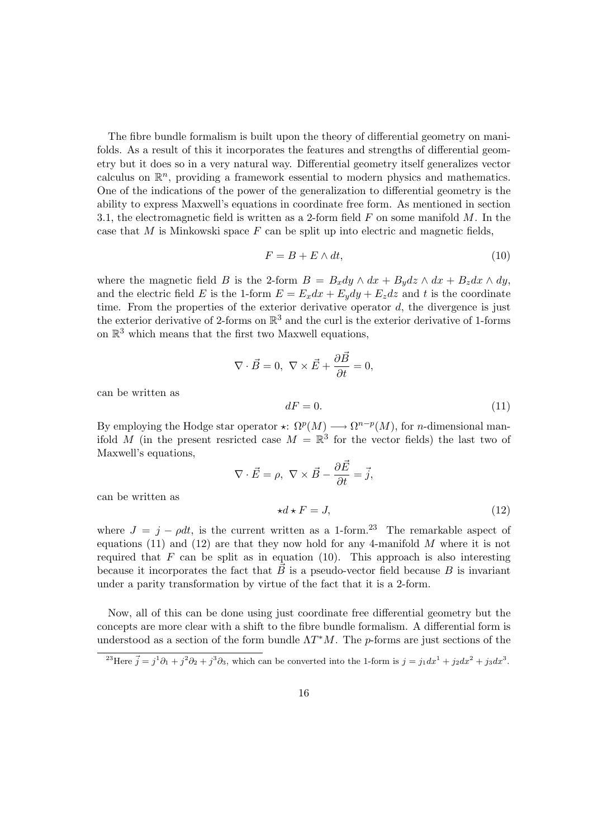The fibre bundle formalism is built upon the theory of differential geometry on manifolds. As a result of this it incorporates the features and strengths of differential geometry but it does so in a very natural way. Differential geometry itself generalizes vector calculus on  $\mathbb{R}^n$ , providing a framework essential to modern physics and mathematics. One of the indications of the power of the generalization to differential geometry is the ability to express Maxwell's equations in coordinate free form. As mentioned in section 3.1, the electromagnetic field is written as a 2-form field  $F$  on some manifold  $M$ . In the case that M is Minkowski space  $F$  can be split up into electric and magnetic fields,

$$
F = B + E \wedge dt,\t\t(10)
$$

where the magnetic field B is the 2-form  $B = B_x dy \wedge dx + B_y dz \wedge dx + B_z dx \wedge dy$ , and the electric field E is the 1-form  $E = E_x dx + E_y dy + E_z dz$  and t is the coordinate time. From the properties of the exterior derivative operator  $d$ , the divergence is just the exterior derivative of 2-forms on  $\mathbb{R}^3$  and the curl is the exterior derivative of 1-forms on  $\mathbb{R}^3$  which means that the first two Maxwell equations,

$$
\nabla \cdot \vec{B} = 0, \ \nabla \times \vec{E} + \frac{\partial \vec{B}}{\partial t} = 0,
$$
  

$$
dF = 0.
$$
 (11)

can be written as

By employing the Hodge star operator  $\star: \Omega^p(M) \longrightarrow \Omega^{n-p}(M)$ , for *n*-dimensional manifold M (in the present resricted case  $M = \mathbb{R}^3$  for the vector fields) the last two of Maxwell's equations,

$$
\nabla \cdot \vec{E} = \rho, \ \nabla \times \vec{B} - \frac{\partial \vec{E}}{\partial t} = \vec{j},
$$

$$
\star d \star F = J,
$$
 (12)

can be written as

where  $J = j - \rho dt$ , is the current written as a 1-form.<sup>23</sup> The remarkable aspect of equations (11) and (12) are that they now hold for any 4-manifold  $M$  where it is not required that  $F$  can be split as in equation (10). This approach is also interesting because it incorporates the fact that  $\vec{B}$  is a pseudo-vector field because  $B$  is invariant under a parity transformation by virtue of the fact that it is a 2-form.

Now, all of this can be done using just coordinate free differential geometry but the concepts are more clear with a shift to the fibre bundle formalism. A differential form is understood as a section of the form bundle  $\Lambda T^*M$ . The p-forms are just sections of the

<sup>&</sup>lt;sup>23</sup>Here  $\vec{j} = j^1 \partial_1 + j^2 \partial_2 + j^3 \partial_3$ , which can be converted into the 1-form is  $j = j_1 dx^1 + j_2 dx^2 + j_3 dx^3$ .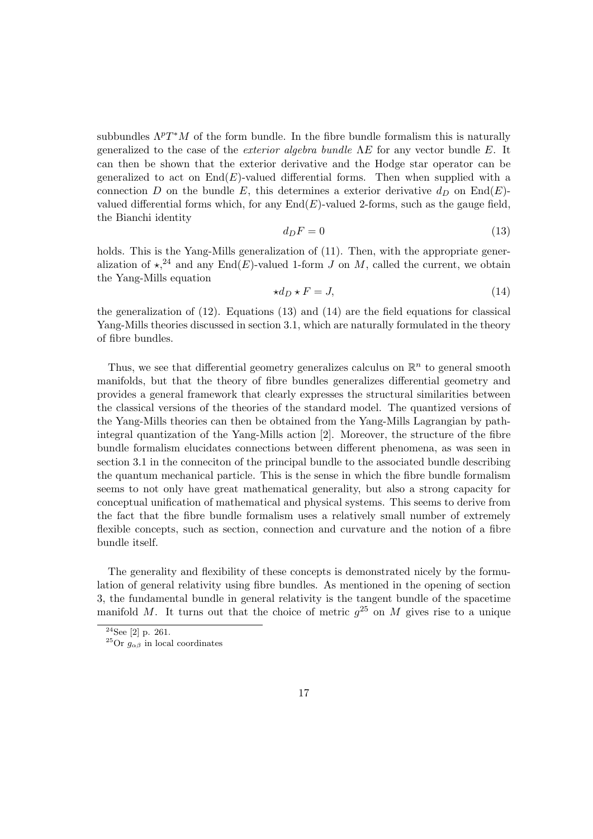subbundles  $\Lambda^p T^*M$  of the form bundle. In the fibre bundle formalism this is naturally generalized to the case of the *exterior algebra bundle*  $\Lambda E$  for any vector bundle E. It can then be shown that the exterior derivative and the Hodge star operator can be generalized to act on  $End(E)$ -valued differential forms. Then when supplied with a connection D on the bundle E, this determines a exterior derivative  $d_D$  on End(E)valued differential forms which, for any  $End(E)$ -valued 2-forms, such as the gauge field, the Bianchi identity

$$
d_D F = 0 \tag{13}
$$

holds. This is the Yang-Mills generalization of  $(11)$ . Then, with the appropriate generalization of  $\star$ ,<sup>24</sup> and any End(E)-valued 1-form J on M, called the current, we obtain the Yang-Mills equation

$$
\star d_D \star F = J,\tag{14}
$$

the generalization of  $(12)$ . Equations  $(13)$  and  $(14)$  are the field equations for classical Yang-Mills theories discussed in section 3.1, which are naturally formulated in the theory of fibre bundles.

Thus, we see that differential geometry generalizes calculus on  $\mathbb{R}^n$  to general smooth manifolds, but that the theory of fibre bundles generalizes differential geometry and provides a general framework that clearly expresses the structural similarities between the classical versions of the theories of the standard model. The quantized versions of the Yang-Mills theories can then be obtained from the Yang-Mills Lagrangian by pathintegral quantization of the Yang-Mills action [2]. Moreover, the structure of the fibre bundle formalism elucidates connections between different phenomena, as was seen in section 3.1 in the conneciton of the principal bundle to the associated bundle describing the quantum mechanical particle. This is the sense in which the fibre bundle formalism seems to not only have great mathematical generality, but also a strong capacity for conceptual unification of mathematical and physical systems. This seems to derive from the fact that the fibre bundle formalism uses a relatively small number of extremely flexible concepts, such as section, connection and curvature and the notion of a fibre bundle itself.

The generality and flexibility of these concepts is demonstrated nicely by the formulation of general relativity using fibre bundles. As mentioned in the opening of section 3, the fundamental bundle in general relativity is the tangent bundle of the spacetime manifold M. It turns out that the choice of metric  $g^{25}$  on M gives rise to a unique

 $24$ See [2] p. 261.

<sup>&</sup>lt;sup>25</sup>Or  $g_{\alpha\beta}$  in local coordinates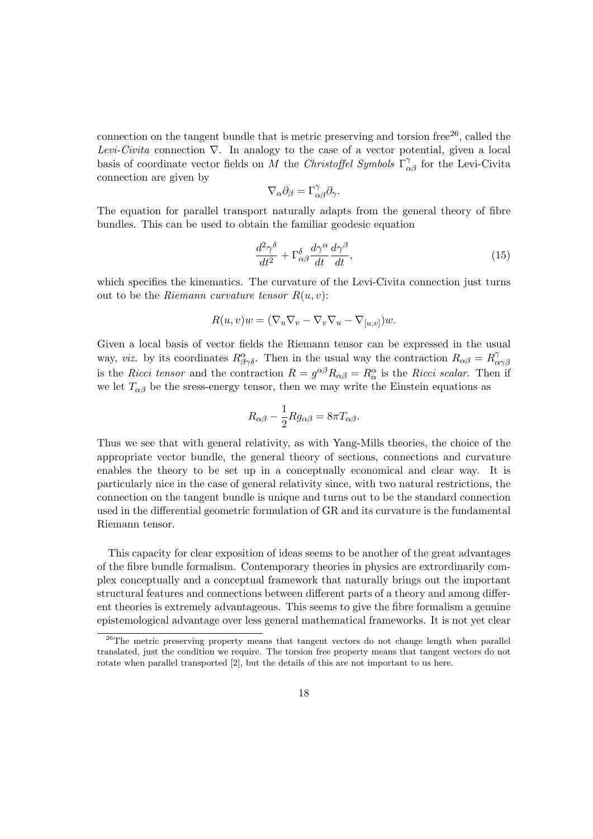connection on the tangent bundle that is metric preserving and torsion free<sup>26</sup>, called the Levi-Civita connection  $\nabla$ . In analogy to the case of a vector potential, given a local basis of coordinate vector fields on M the Christoffel Symbols  $\Gamma^{\gamma}_{\alpha\beta}$  for the Levi-Civita connection are given by

$$
\nabla_{\alpha}\partial_{\beta} = \Gamma^{\gamma}_{\alpha\beta}\partial_{\gamma}.
$$

The equation for parallel transport naturally adapts from the general theory of fibre bundles. This can be used to obtain the familiar geodesic equation

$$
\frac{d^2\gamma^{\delta}}{dt^2} + \Gamma^{\delta}_{\alpha\beta} \frac{d\gamma^{\alpha}}{dt} \frac{d\gamma^{\beta}}{dt},\tag{15}
$$

which specifies the kinematics. The curvature of the Levi-Civita connection just turns out to be the Riemann curvature tensor  $R(u, v)$ :

$$
R(u, v)w = (\nabla_u \nabla_v - \nabla_v \nabla_u - \nabla_{[u, v]})w.
$$

Given a local basis of vector fields the Riemann tensor can be expressed in the usual way, viz. by its coordinates  $R^{\alpha}_{\beta\gamma\delta}$ . Then in the usual way the contraction  $R_{\alpha\beta} = R^{\gamma}_{\alpha\beta}$ αγβ is the Ricci tensor and the contraction  $R = g^{\alpha\beta}R_{\alpha\beta} = R_{\alpha}^{\alpha}$  is the Ricci scalar. Then if we let  $T_{\alpha\beta}$  be the sress-energy tensor, then we may write the Einstein equations as

$$
R_{\alpha\beta} - \frac{1}{2} R g_{\alpha\beta} = 8\pi T_{\alpha\beta}.
$$

Thus we see that with general relativity, as with Yang-Mills theories, the choice of the appropriate vector bundle, the general theory of sections, connections and curvature enables the theory to be set up in a conceptually economical and clear way. It is particularly nice in the case of general relativity since, with two natural restrictions, the connection on the tangent bundle is unique and turns out to be the standard connection used in the differential geometric formulation of GR and its curvature is the fundamental Riemann tensor.

This capacity for clear exposition of ideas seems to be another of the great advantages of the fibre bundle formalism. Contemporary theories in physics are extrordinarily complex conceptually and a conceptual framework that naturally brings out the important structural features and connections between different parts of a theory and among different theories is extremely advantageous. This seems to give the fibre formalism a genuine epistemological advantage over less general mathematical frameworks. It is not yet clear

 $26$ The metric preserving property means that tangent vectors do not change length when parallel translated, just the condition we require. The torsion free property means that tangent vectors do not rotate when parallel transported [2], but the details of this are not important to us here.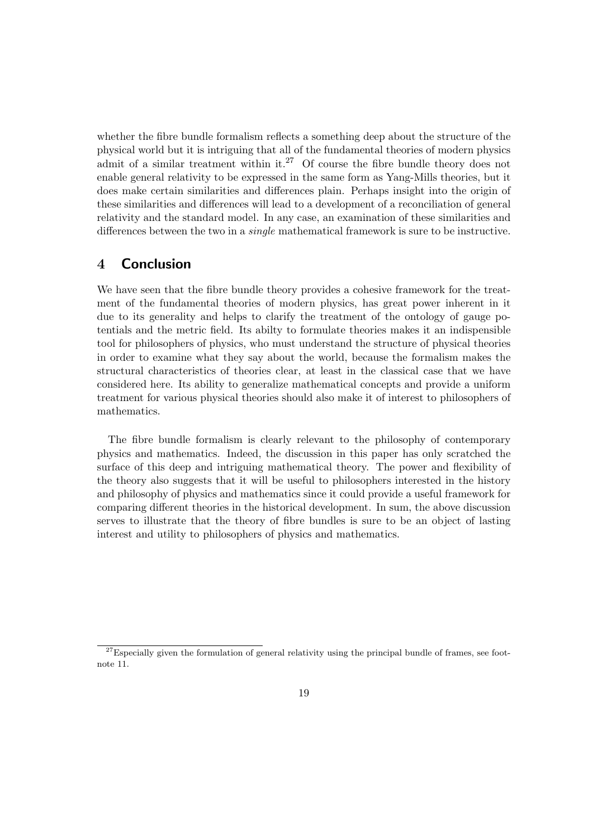whether the fibre bundle formalism reflects a something deep about the structure of the physical world but it is intriguing that all of the fundamental theories of modern physics admit of a similar treatment within it.<sup>27</sup> Of course the fibre bundle theory does not enable general relativity to be expressed in the same form as Yang-Mills theories, but it does make certain similarities and differences plain. Perhaps insight into the origin of these similarities and differences will lead to a development of a reconciliation of general relativity and the standard model. In any case, an examination of these similarities and differences between the two in a single mathematical framework is sure to be instructive.

### 4 Conclusion

We have seen that the fibre bundle theory provides a cohesive framework for the treatment of the fundamental theories of modern physics, has great power inherent in it due to its generality and helps to clarify the treatment of the ontology of gauge potentials and the metric field. Its abilty to formulate theories makes it an indispensible tool for philosophers of physics, who must understand the structure of physical theories in order to examine what they say about the world, because the formalism makes the structural characteristics of theories clear, at least in the classical case that we have considered here. Its ability to generalize mathematical concepts and provide a uniform treatment for various physical theories should also make it of interest to philosophers of mathematics.

The fibre bundle formalism is clearly relevant to the philosophy of contemporary physics and mathematics. Indeed, the discussion in this paper has only scratched the surface of this deep and intriguing mathematical theory. The power and flexibility of the theory also suggests that it will be useful to philosophers interested in the history and philosophy of physics and mathematics since it could provide a useful framework for comparing different theories in the historical development. In sum, the above discussion serves to illustrate that the theory of fibre bundles is sure to be an object of lasting interest and utility to philosophers of physics and mathematics.

 $27$ Especially given the formulation of general relativity using the principal bundle of frames, see footnote 11.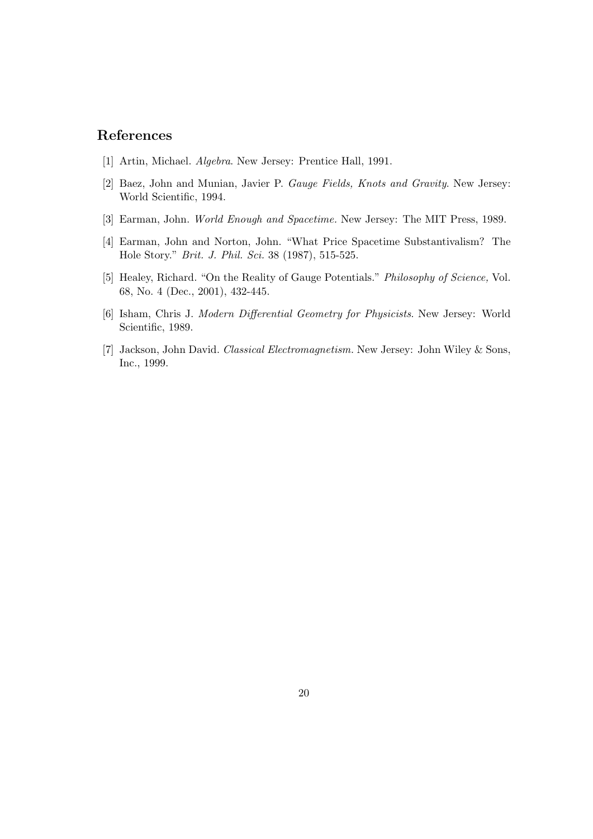## References

- [1] Artin, Michael. Algebra. New Jersey: Prentice Hall, 1991.
- [2] Baez, John and Munian, Javier P. Gauge Fields, Knots and Gravity. New Jersey: World Scientific, 1994.
- [3] Earman, John. World Enough and Spacetime. New Jersey: The MIT Press, 1989.
- [4] Earman, John and Norton, John. "What Price Spacetime Substantivalism? The Hole Story." Brit. J. Phil. Sci. 38 (1987), 515-525.
- [5] Healey, Richard. "On the Reality of Gauge Potentials." Philosophy of Science, Vol. 68, No. 4 (Dec., 2001), 432-445.
- [6] Isham, Chris J. Modern Differential Geometry for Physicists. New Jersey: World Scientific, 1989.
- [7] Jackson, John David. Classical Electromagnetism. New Jersey: John Wiley & Sons, Inc., 1999.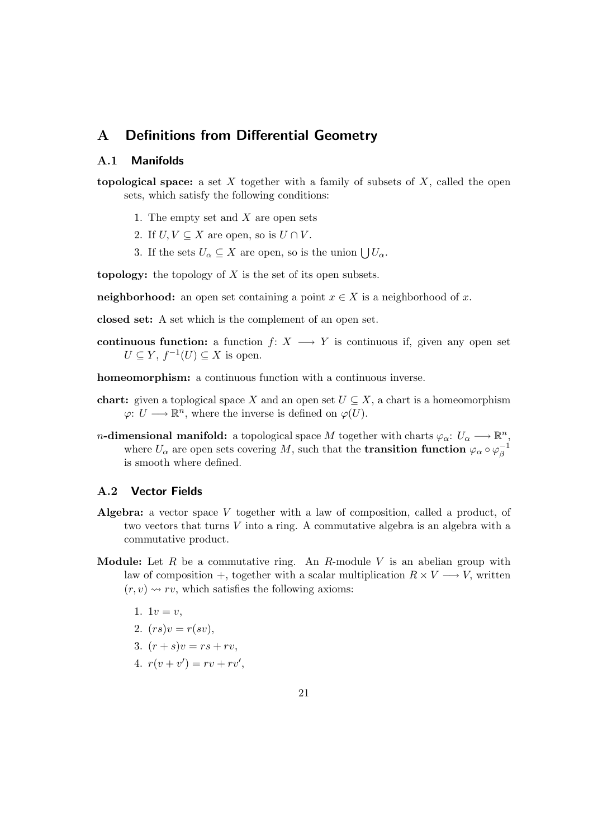### A Definitions from Differential Geometry

### A.1 Manifolds

- topological space: a set X together with a family of subsets of X, called the open sets, which satisfy the following conditions:
	- 1. The empty set and  $X$  are open sets
	- 2. If  $U, V \subseteq X$  are open, so is  $U \cap V$ .
	- 3. If the sets  $U_{\alpha} \subseteq X$  are open, so is the union  $\bigcup U_{\alpha}$ .

**topology:** the topology of  $X$  is the set of its open subsets.

**neighborhood:** an open set containing a point  $x \in X$  is a neighborhood of x.

closed set: A set which is the complement of an open set.

continuous function: a function  $f: X \longrightarrow Y$  is continuous if, given any open set  $U \subseteq Y$ ,  $f^{-1}(U) \subseteq X$  is open.

homeomorphism: a continuous function with a continuous inverse.

- **chart:** given a toplogical space X and an open set  $U \subseteq X$ , a chart is a homeomorphism  $\varphi: U \longrightarrow \mathbb{R}^n$ , where the inverse is defined on  $\varphi(U)$ .
- n-dimensional manifold: a topological space M together with charts  $\varphi_{\alpha} \colon U_{\alpha} \longrightarrow \mathbb{R}^n$ , where  $U_{\alpha}$  are open sets covering M, such that the **transition function**  $\varphi_{\alpha} \circ \varphi_{\beta}^{-1}$ β is smooth where defined.

#### A.2 Vector Fields

- Algebra: a vector space  $V$  together with a law of composition, called a product, of two vectors that turns V into a ring. A commutative algebra is an algebra with a commutative product.
- **Module:** Let  $R$  be a commutative ring. An  $R$ -module  $V$  is an abelian group with law of composition +, together with a scalar multiplication  $R \times V \longrightarrow V$ , written  $(r, v) \rightarrow rv$ , which satisfies the following axioms:
	- 1.  $1v = v$ ,
	- 2.  $(rs)v = r(sv)$ ,
	- 3.  $(r + s)v = rs + rv$ .
	- 4.  $r(v + v') = rv + rv'$ ,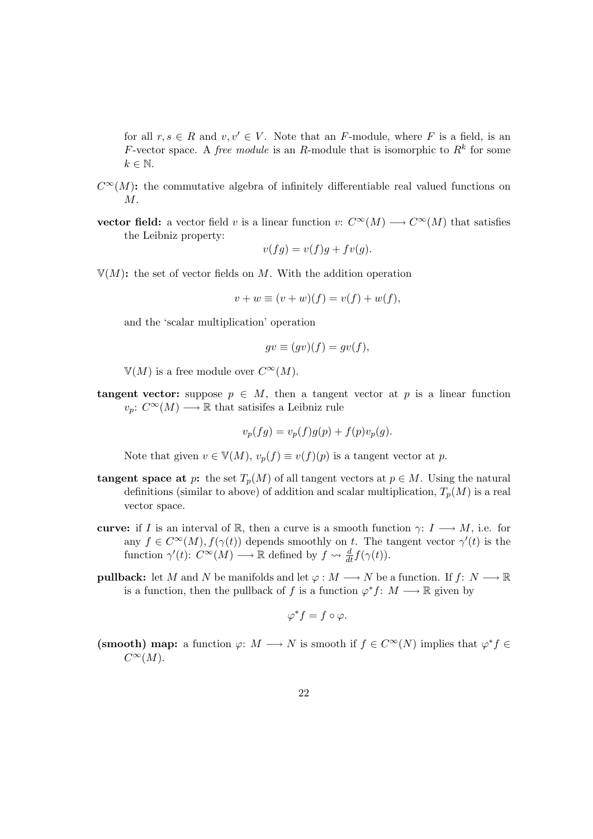for all  $r, s \in R$  and  $v, v' \in V$ . Note that an F-module, where F is a field, is an F-vector space. A *free module* is an R-module that is isomorphic to  $R^k$  for some  $k \in \mathbb{N}$ .

- $C^{\infty}(M)$ : the commutative algebra of infinitely differentiable real valued functions on  $M$ .
- vector field: a vector field v is a linear function v:  $C^{\infty}(M) \longrightarrow C^{\infty}(M)$  that satisfies the Leibniz property:  $\langle \begin{array}{ccc} c & c \end{array} \rangle$

$$
v(fg) = v(f)g + fv(g).
$$

 $\mathbb{V}(M)$ : the set of vector fields on M. With the addition operation

$$
v + w \equiv (v + w)(f) = v(f) + w(f),
$$

and the 'scalar multiplication' operation

$$
gv \equiv (gv)(f) = gv(f),
$$

 $V(M)$  is a free module over  $C^{\infty}(M)$ .

**tangent vector:** suppose  $p \in M$ , then a tangent vector at p is a linear function  $v_p: C^{\infty}(M) \longrightarrow \mathbb{R}$  that satisifes a Leibniz rule

$$
v_p(fg) = v_p(f)g(p) + f(p)v_p(g).
$$

Note that given  $v \in \mathbb{V}(M)$ ,  $v_p(f) \equiv v(f)(p)$  is a tangent vector at p.

- tangent space at p: the set  $T_p(M)$  of all tangent vectors at  $p \in M$ . Using the natural definitions (similar to above) of addition and scalar multiplication,  $T_p(M)$  is a real vector space.
- curve: if I is an interval of R, then a curve is a smooth function  $\gamma: I \longrightarrow M$ , i.e. for any  $f \in C^{\infty}(M)$ ,  $f(\gamma(t))$  depends smoothly on t. The tangent vector  $\gamma'(t)$  is the function  $\gamma'(t)$ :  $C^{\infty}(M) \longrightarrow \mathbb{R}$  defined by  $f \rightsquigarrow \frac{d}{dt} f(\gamma(t)).$
- **pullback:** let M and N be manifolds and let  $\varphi : M \longrightarrow N$  be a function. If  $f: N \longrightarrow \mathbb{R}$ is a function, then the pullback of f is a function  $\varphi^* f: M \longrightarrow \mathbb{R}$  given by

$$
\varphi^* f = f \circ \varphi.
$$

(smooth) map: a function  $\varphi: M \longrightarrow N$  is smooth if  $f \in C^{\infty}(N)$  implies that  $\varphi^* f \in$  $C^{\infty}(M)$ .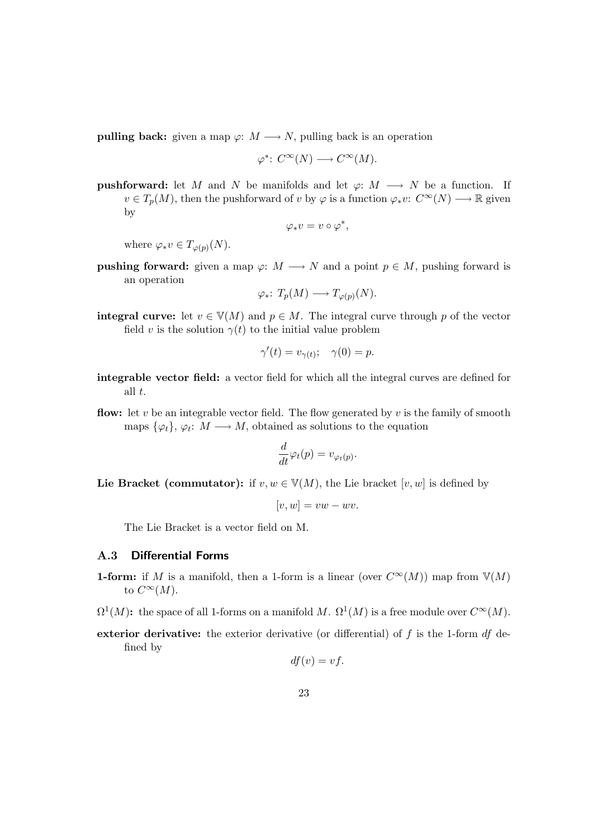**pulling back:** given a map  $\varphi: M \longrightarrow N$ , pulling back is an operation

$$
\varphi^*\colon C^\infty(N)\longrightarrow C^\infty(M).
$$

**pushforward:** let M and N be manifolds and let  $\varphi: M \longrightarrow N$  be a function. If  $v \in T_p(M)$ , then the pushforward of v by  $\varphi$  is a function  $\varphi_* v: C^{\infty}(N) \longrightarrow \mathbb{R}$  given by

$$
\varphi_*v=v\circ \varphi^*,
$$

where  $\varphi_* v \in T_{\varphi(p)}(N)$ .

**pushing forward:** given a map  $\varphi: M \longrightarrow N$  and a point  $p \in M$ , pushing forward is an operation

$$
\varphi_*\colon T_p(M) \longrightarrow T_{\varphi(p)}(N).
$$

**integral curve:** let  $v \in V(M)$  and  $p \in M$ . The integral curve through p of the vector field v is the solution  $\gamma(t)$  to the initial value problem

$$
\gamma'(t) = v_{\gamma(t)}; \quad \gamma(0) = p.
$$

- integrable vector field: a vector field for which all the integral curves are defined for all t.
- **flow:** let v be an integrable vector field. The flow generated by v is the family of smooth maps  $\{\varphi_t\}, \varphi_t: M \longrightarrow M$ , obtained as solutions to the equation

$$
\frac{d}{dt}\varphi_t(p) = v_{\varphi_t(p)}.
$$

Lie Bracket (commutator): if  $v, w \in V(M)$ , the Lie bracket  $[v, w]$  is defined by

$$
[v, w] = vw - wv.
$$

The Lie Bracket is a vector field on M.

#### A.3 Differential Forms

- **1-form:** if M is a manifold, then a 1-form is a linear (over  $C^{\infty}(M)$ ) map from  $\mathbb{V}(M)$ to  $C^{\infty}(M)$ .
- $\Omega^1(M)$ : the space of all 1-forms on a manifold M.  $\Omega^1(M)$  is a free module over  $C^{\infty}(M)$ .
- exterior derivative: the exterior derivative (or differential) of  $f$  is the 1-form  $df$  defined by

$$
df(v) = vf.
$$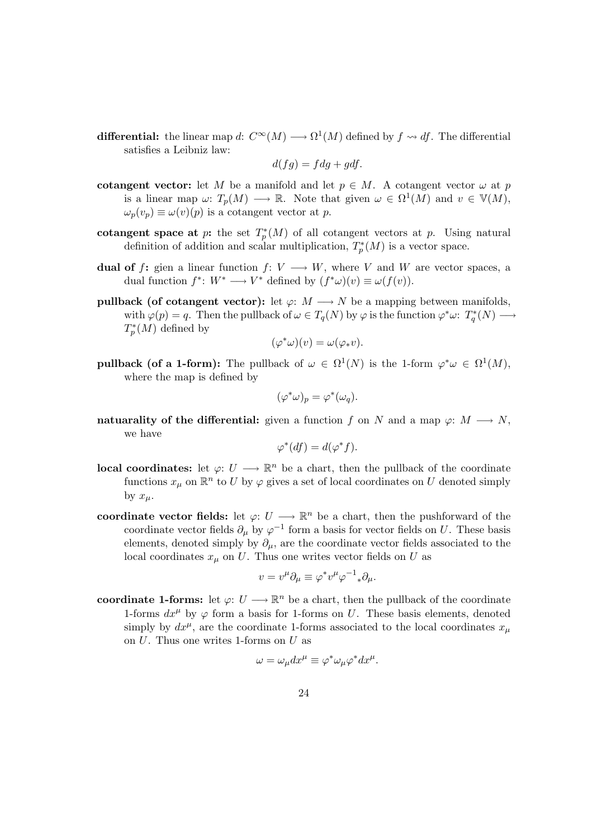**differential:** the linear map d:  $C^{\infty}(M) \longrightarrow \Omega^1(M)$  defined by  $f \rightsquigarrow df$ . The differential satisfies a Leibniz law:

$$
d(fg) = f dg + g df.
$$

- cotangent vector: let M be a manifold and let  $p \in M$ . A cotangent vector  $\omega$  at p is a linear map  $\omega: T_p(M) \longrightarrow \mathbb{R}$ . Note that given  $\omega \in \Omega^1(M)$  and  $v \in \mathbb{V}(M)$ ,  $\omega_p(v_p) \equiv \omega(v)(p)$  is a cotangent vector at p.
- cotangent space at p: the set  $T_p^*(M)$  of all cotangent vectors at p. Using natural definition of addition and scalar multiplication,  $T_p^*(M)$  is a vector space.
- dual of f: gien a linear function  $f: V \longrightarrow W$ , where V and W are vector spaces, a dual function  $f^*: W^* \longrightarrow V^*$  defined by  $(f^*\omega)(v) \equiv \omega(f(v))$ .
- **pullback** (of cotangent vector): let  $\varphi: M \longrightarrow N$  be a mapping between manifolds, with  $\varphi(p) = q$ . Then the pullback of  $\omega \in T_q(N)$  by  $\varphi$  is the function  $\varphi^* \omega: T_q^*(N) \longrightarrow$  $T^*_p(M)$  defined by

$$
(\varphi^*\omega)(v) = \omega(\varphi_*v).
$$

**pullback (of a 1-form):** The pullback of  $\omega \in \Omega^1(N)$  is the 1-form  $\varphi^* \omega \in \Omega^1(M)$ , where the map is defined by

$$
(\varphi^*\omega)_p = \varphi^*(\omega_q).
$$

natuarality of the differential: given a function f on N and a map  $\varphi: M \longrightarrow N$ , we have

$$
\varphi^*(df) = d(\varphi^*f).
$$

- **local coordinates:** let  $\varphi: U \longrightarrow \mathbb{R}^n$  be a chart, then the pullback of the coordinate functions  $x_{\mu}$  on  $\mathbb{R}^n$  to U by  $\varphi$  gives a set of local coordinates on U denoted simply by  $x_\mu$ .
- coordinate vector fields: let  $\varphi: U \longrightarrow \mathbb{R}^n$  be a chart, then the pushforward of the coordinate vector fields  $\partial_{\mu}$  by  $\varphi^{-1}$  form a basis for vector fields on U. These basis elements, denoted simply by  $\partial_{\mu}$ , are the coordinate vector fields associated to the local coordinates  $x_{\mu}$  on U. Thus one writes vector fields on U as

$$
v = v^{\mu} \partial_{\mu} \equiv \varphi^* v^{\mu} \varphi^{-1} {}_* \partial_{\mu}.
$$

coordinate 1-forms: let  $\varphi: U \longrightarrow \mathbb{R}^n$  be a chart, then the pullback of the coordinate 1-forms  $dx^{\mu}$  by  $\varphi$  form a basis for 1-forms on U. These basis elements, denoted simply by  $dx^{\mu}$ , are the coordinate 1-forms associated to the local coordinates  $x_{\mu}$ on U. Thus one writes 1-forms on U as

$$
\omega = \omega_{\mu} dx^{\mu} \equiv \varphi^* \omega_{\mu} \varphi^* dx^{\mu}.
$$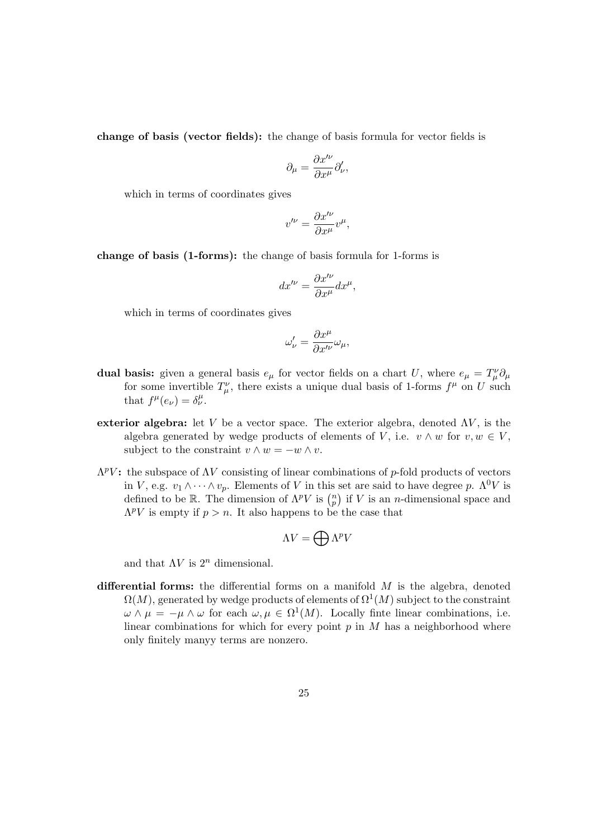change of basis (vector fields): the change of basis formula for vector fields is

$$
\partial_\mu = \frac{\partial x'^\nu}{\partial x^\mu} \partial'_\nu,
$$

which in terms of coordinates gives

$$
v^{\prime\nu} = \frac{\partial x^{\prime\nu}}{\partial x^{\mu}} v^{\mu},
$$

change of basis (1-forms): the change of basis formula for 1-forms is

$$
dx^{\prime\nu} = \frac{\partial x^{\prime\nu}}{\partial x^{\mu}} dx^{\mu},
$$

which in terms of coordinates gives

$$
\omega'_{\nu} = \frac{\partial x^{\mu}}{\partial x'^{\nu}} \omega_{\mu},
$$

- dual basis: given a general basis  $e_{\mu}$  for vector fields on a chart U, where  $e_{\mu} = T_{\mu}^{\nu} \partial_{\mu}$ for some invertible  $T^{\nu}_{\mu}$ , there exists a unique dual basis of 1-forms  $f^{\mu}$  on U such that  $f^{\mu}(e_{\nu}) = \delta^{\mu}_{\nu}$ .
- exterior algebra: let V be a vector space. The exterior algebra, denoted  $\Lambda V$ , is the algebra generated by wedge products of elements of V, i.e.  $v \wedge w$  for  $v, w \in V$ , subject to the constraint  $v \wedge w = -w \wedge v$ .
- $\Lambda^p V$ : the subspace of  $\Lambda V$  consisting of linear combinations of p-fold products of vectors in V, e.g.  $v_1 \wedge \cdots \wedge v_n$ . Elements of V in this set are said to have degree p.  $\Lambda^0 V$  is defined to be R. The dimension of  $\Lambda^p V$  is  $\binom{n}{p}$  if V is an *n*-dimensional space and  $\Lambda^p V$  is empty if  $p > n$ . It also happens to be the case that

$$
\Lambda V = \bigoplus \Lambda^p V
$$

and that  $\Lambda V$  is  $2^n$  dimensional.

differential forms: the differential forms on a manifold  $M$  is the algebra, denoted  $\Omega(M)$ , generated by wedge products of elements of  $\Omega^1(M)$  subject to the constraint  $\omega \wedge \mu = -\mu \wedge \omega$  for each  $\omega, \mu \in \Omega^1(M)$ . Locally finte linear combinations, i.e. linear combinations for which for every point  $p$  in  $M$  has a neighborhood where only finitely manyy terms are nonzero.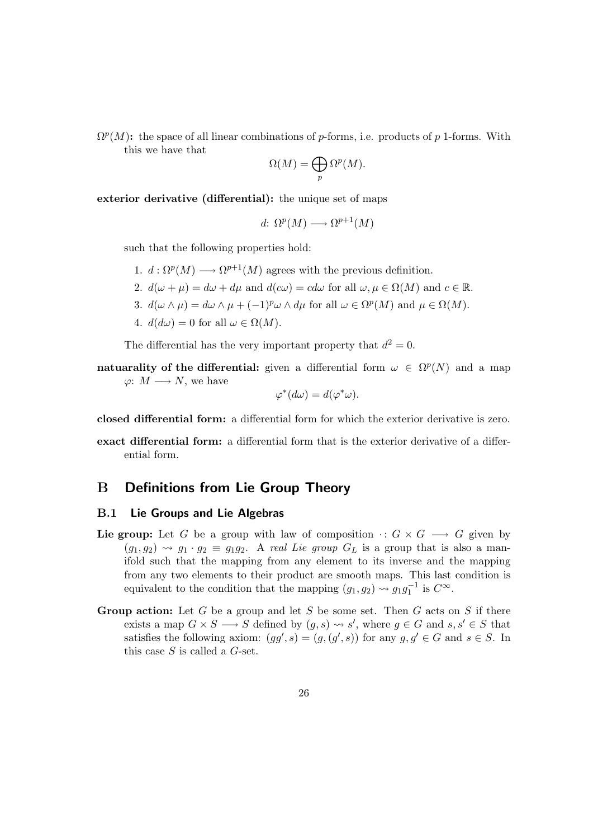$\Omega^p(M)$ : the space of all linear combinations of p-forms, i.e. products of p 1-forms. With this we have that

$$
\Omega(M) = \bigoplus_p \Omega^p(M).
$$

exterior derivative (differential): the unique set of maps

$$
d\colon \Omega^p(M) \longrightarrow \Omega^{p+1}(M)
$$

such that the following properties hold:

- 1.  $d: \Omega^p(M) \longrightarrow \Omega^{p+1}(M)$  agrees with the previous definition.
- 2.  $d(\omega + \mu) = d\omega + d\mu$  and  $d(c\omega) = cd\omega$  for all  $\omega, \mu \in \Omega(M)$  and  $c \in \mathbb{R}$ .
- 3.  $d(\omega \wedge \mu) = d\omega \wedge \mu + (-1)^p \omega \wedge d\mu$  for all  $\omega \in \Omega^p(M)$  and  $\mu \in \Omega(M)$ .
- 4.  $d(d\omega) = 0$  for all  $\omega \in \Omega(M)$ .

The differential has the very important property that  $d^2 = 0$ .

natuarality of the differential: given a differential form  $\omega \in \Omega^p(N)$  and a map  $\varphi: M \longrightarrow N$ , we have

$$
\varphi^*(d\omega) = d(\varphi^*\omega).
$$

closed differential form: a differential form for which the exterior derivative is zero.

exact differential form: a differential form that is the exterior derivative of a differential form.

### B Definitions from Lie Group Theory

#### B.1 Lie Groups and Lie Algebras

- Lie group: Let G be a group with law of composition  $\cdot : G \times G \longrightarrow G$  given by  $(g_1, g_2) \rightsquigarrow g_1 \cdot g_2 \equiv g_1 g_2$ . A real Lie group  $G_L$  is a group that is also a manifold such that the mapping from any element to its inverse and the mapping from any two elements to their product are smooth maps. This last condition is equivalent to the condition that the mapping  $(g_1, g_2) \rightsquigarrow g_1 g_1^{-1}$  is  $C^{\infty}$ .
- **Group action:** Let G be a group and let S be some set. Then G acts on S if there exists a map  $G \times S \longrightarrow S$  defined by  $(g, s) \rightsquigarrow s'$ , where  $g \in G$  and  $s, s' \in S$  that satisfies the following axiom:  $(gg', s) = (g, (g', s))$  for any  $g, g' \in G$  and  $s \in S$ . In this case  $S$  is called a  $G$ -set.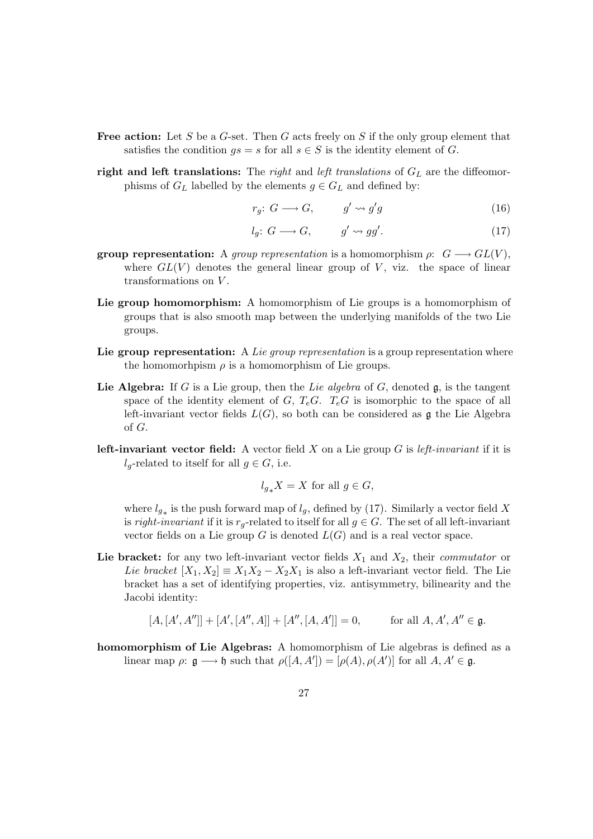- **Free action:** Let S be a G-set. Then G acts freely on S if the only group element that satisfies the condition  $qs = s$  for all  $s \in S$  is the identity element of G.
- right and left translations: The right and left translations of  $G_L$  are the diffeomorphisms of  $G_L$  labelled by the elements  $g \in G_L$  and defined by:

$$
r_g: G \longrightarrow G, \qquad g' \leadsto g'g \tag{16}
$$

$$
l_g: G \longrightarrow G, \qquad g' \leadsto gg'. \tag{17}
$$

- **group representation:** A group representation is a homomorphism  $\rho: G \longrightarrow GL(V)$ , where  $GL(V)$  denotes the general linear group of V, viz. the space of linear transformations on V.
- Lie group homomorphism: A homomorphism of Lie groups is a homomorphism of groups that is also smooth map between the underlying manifolds of the two Lie groups.
- Lie group representation: A Lie group representation is a group representation where the homomorhpism  $\rho$  is a homomorphism of Lie groups.
- Lie Algebra: If G is a Lie group, then the Lie algebra of G, denoted  $\mathfrak{g}$ , is the tangent space of the identity element of  $G, T_eG$ .  $T_eG$  is isomorphic to the space of all left-invariant vector fields  $L(G)$ , so both can be considered as g the Lie Algebra of G.
- **left-invariant vector field:** A vector field X on a Lie group G is *left-invariant* if it is  $l_q$ -related to itself for all  $q \in G$ , i.e.

$$
l_{g*}X = X \text{ for all } g \in G,
$$

where  $l_{g*}$  is the push forward map of  $l_g$ , defined by (17). Similarly a vector field X is right-invariant if it is  $r_q$ -related to itself for all  $q \in G$ . The set of all left-invariant vector fields on a Lie group G is denoted  $L(G)$  and is a real vector space.

Lie bracket: for any two left-invariant vector fields  $X_1$  and  $X_2$ , their *commutator* or Lie bracket  $[X_1, X_2] \equiv X_1 X_2 - X_2 X_1$  is also a left-invariant vector field. The Lie bracket has a set of identifying properties, viz. antisymmetry, bilinearity and the Jacobi identity:

$$
[A, [A', A'']] + [A', [A'', A]] + [A'', [A, A']] = 0
$$
, for all  $A, A', A'' \in \mathfrak{g}$ .

homomorphism of Lie Algebras: A homomorphism of Lie algebras is defined as a linear map  $\rho: \mathfrak{g} \longrightarrow \mathfrak{h}$  such that  $\rho([A, A']) = [\rho(A), \rho(A')]$  for all  $A, A' \in \mathfrak{g}$ .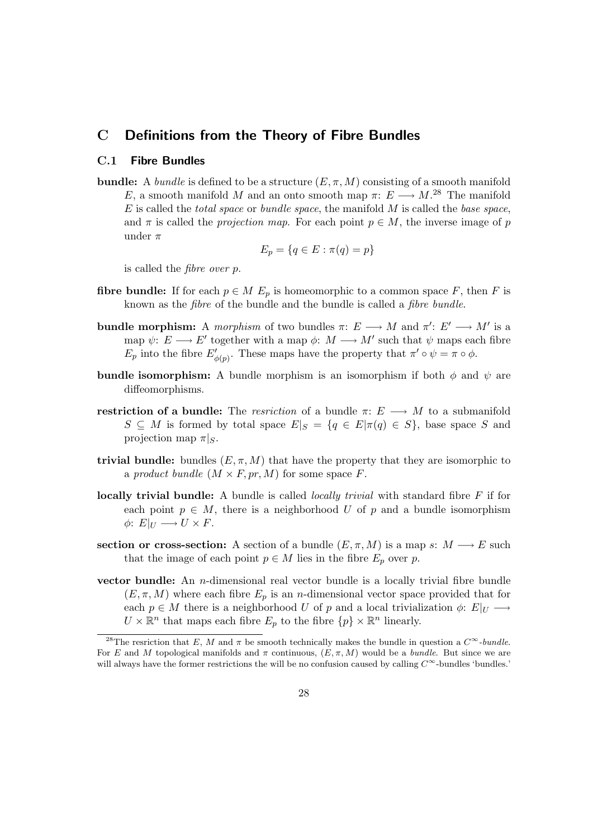### C Definitions from the Theory of Fibre Bundles

### C.1 Fibre Bundles

**bundle:** A bundle is defined to be a structure  $(E, \pi, M)$  consisting of a smooth manifold E, a smooth manifold M and an onto smooth map  $\pi: E \longrightarrow M^{28}$  The manifold  $E$  is called the *total space* or *bundle space*, the manifold  $M$  is called the *base space*, and  $\pi$  is called the projection map. For each point  $p \in M$ , the inverse image of p under  $\pi$ 

$$
E_p = \{q \in E : \pi(q) = p\}
$$

is called the fibre over p.

- fibre bundle: If for each  $p \in M$  E<sub>p</sub> is homeomorphic to a common space F, then F is known as the fibre of the bundle and the bundle is called a fibre bundle.
- bundle morphism: A morphism of two bundles  $\pi: E \longrightarrow M$  and  $\pi': E' \longrightarrow M'$  is a map  $\psi: E \longrightarrow E'$  together with a map  $\phi: M \longrightarrow M'$  such that  $\psi$  maps each fibre  $E_p$  into the fibre  $E'_{\phi(p)}$ . These maps have the property that  $\pi' \circ \psi = \pi \circ \phi$ .
- **bundle isomorphism:** A bundle morphism is an isomorphism if both  $\phi$  and  $\psi$  are diffeomorphisms.
- restriction of a bundle: The resriction of a bundle  $\pi: E \longrightarrow M$  to a submanifold  $S \subseteq M$  is formed by total space  $E|_S = \{q \in E | \pi(q) \in S\}$ , base space S and projection map  $\pi|_S$ .
- trivial bundle: bundles  $(E, \pi, M)$  that have the property that they are isomorphic to a product bundle  $(M \times F, pr, M)$  for some space F.
- locally trivial bundle: A bundle is called *locally trivial* with standard fibre  $F$  if for each point  $p \in M$ , there is a neighborhood U of p and a bundle isomorphism  $\phi: E|_U \longrightarrow U \times F.$
- section or cross-section: A section of a bundle  $(E, \pi, M)$  is a map s:  $M \longrightarrow E$  such that the image of each point  $p \in M$  lies in the fibre  $E_p$  over p.
- vector bundle: An n-dimensional real vector bundle is a locally trivial fibre bundle  $(E, \pi, M)$  where each fibre  $E_p$  is an *n*-dimensional vector space provided that for each  $p \in M$  there is a neighborhood U of p and a local trivialization  $\phi: E|_U \longrightarrow$  $U \times \mathbb{R}^n$  that maps each fibre  $E_p$  to the fibre  $\{p\} \times \mathbb{R}^n$  linearly.

<sup>&</sup>lt;sup>28</sup>The resriction that E, M and  $\pi$  be smooth technically makes the bundle in question a  $C^{\infty}$ -bundle. For E and M topological manifolds and  $\pi$  continuous,  $(E, \pi, M)$  would be a bundle. But since we are will always have the former restrictions the will be no confusion caused by calling  $C^{\infty}$ -bundles 'bundles.'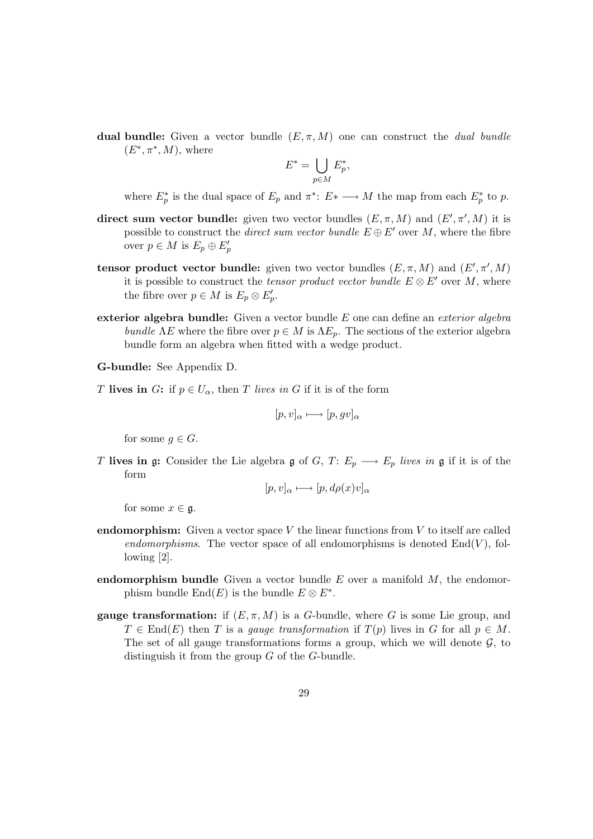dual bundle: Given a vector bundle  $(E, \pi, M)$  one can construct the *dual bundle*  $(E^*, \pi^*, M)$ , where

$$
E^* = \bigcup_{p \in M} E_p^*,
$$

where  $E_p^*$  is the dual space of  $E_p$  and  $\pi^*: E^* \longrightarrow M$  the map from each  $E_p^*$  to p.

- direct sum vector bundle: given two vector bundles  $(E, \pi, M)$  and  $(E', \pi', M)$  it is possible to construct the *direct sum vector bundle*  $E \oplus E'$  over M, where the fibre over  $p \in M$  is  $E_p \oplus E'_p$
- tensor product vector bundle: given two vector bundles  $(E, \pi, M)$  and  $(E', \pi', M)$ it is possible to construct the *tensor product vector bundle*  $E \otimes E'$  over M, where the fibre over  $p \in M$  is  $E_p \otimes E'_p$ .
- exterior algebra bundle: Given a vector bundle  $E$  one can define an *exterior algebra* bundle  $\Lambda E$  where the fibre over  $p \in M$  is  $\Lambda E_p$ . The sections of the exterior algebra bundle form an algebra when fitted with a wedge product.
- G-bundle: See Appendix D.
- T lives in G: if  $p \in U_\alpha$ , then T lives in G if it is of the form

$$
[p, v]_{\alpha} \longmapsto [p, gv]_{\alpha}
$$

for some  $g \in G$ .

T lives in g: Consider the Lie algebra g of G, T:  $E_p \longrightarrow E_p$  lives in g if it is of the form

$$
[p, v]_{\alpha} \longmapsto [p, d\rho(x)v]_{\alpha}
$$

for some  $x \in \mathfrak{g}$ .

- endomorphism: Given a vector space V the linear functions from V to itself are called endomorphisms. The vector space of all endomorphisms is denoted  $End(V)$ , following [2].
- endomorphism bundle Given a vector bundle  $E$  over a manifold  $M$ , the endomorphism bundle  $\text{End}(E)$  is the bundle  $E \otimes E^*$ .
- **gauge transformation:** if  $(E, \pi, M)$  is a G-bundle, where G is some Lie group, and  $T \in End(E)$  then T is a gauge transformation if  $T(p)$  lives in G for all  $p \in M$ . The set of all gauge transformations forms a group, which we will denote  $\mathcal{G}$ , to distinguish it from the group G of the G-bundle.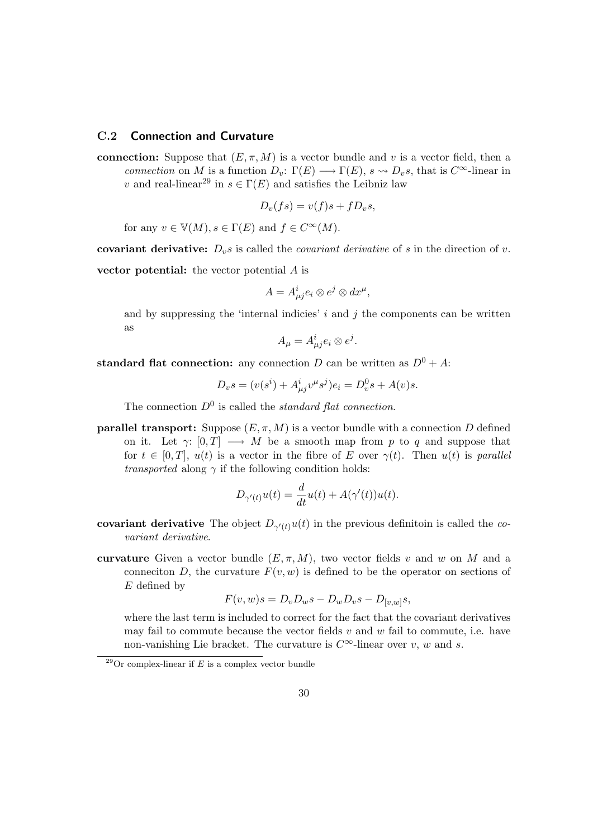### C.2 Connection and Curvature

connection: Suppose that  $(E, \pi, M)$  is a vector bundle and v is a vector field, then a connection on M is a function  $D_v: \Gamma(E) \longrightarrow \Gamma(E)$ ,  $s \rightsquigarrow D_v s$ , that is  $C^{\infty}$ -linear in v and real-linear<sup>29</sup> in  $s \in \Gamma(E)$  and satisfies the Leibniz law

$$
D_v(fs) = v(f)s + fD_v s,
$$

for any  $v \in \mathbb{V}(M), s \in \Gamma(E)$  and  $f \in C^{\infty}(M)$ .

covariant derivative:  $D_v s$  is called the *covariant derivative* of s in the direction of v.

vector potential: the vector potential A is

$$
A=A^i_{\mu j}e_i\otimes e^j\otimes dx^\mu,
$$

and by suppressing the 'internal indicies'  $i$  and  $j$  the components can be written as

$$
A_{\mu} = A_{\mu j}^{i} e_{i} \otimes e^{j}.
$$

standard flat connection: any connection D can be written as  $D^0 + A$ :

$$
D_{v}s = (v(s^{i}) + A^{i}_{\mu j}v^{\mu}s^{j})e_{i} = D_{v}^{0}s + A(v)s.
$$

The connection  $D^0$  is called the *standard flat connection*.

**parallel transport:** Suppose  $(E, \pi, M)$  is a vector bundle with a connection D defined on it. Let  $\gamma: [0, T] \longrightarrow M$  be a smooth map from p to q and suppose that for  $t \in [0, T]$ ,  $u(t)$  is a vector in the fibre of E over  $\gamma(t)$ . Then  $u(t)$  is parallel *transported* along  $\gamma$  if the following condition holds:

$$
D_{\gamma'(t)}u(t) = \frac{d}{dt}u(t) + A(\gamma'(t))u(t).
$$

- covariant derivative The object  $D_{\gamma'(t)}u(t)$  in the previous definitoin is called the covariant derivative.
- curvature Given a vector bundle  $(E, \pi, M)$ , two vector fields v and w on M and a conneciton D, the curvature  $F(v, w)$  is defined to be the operator on sections of  $E$  defined by

$$
F(v, w)s = D_v D_w s - D_w D_v s - D_{[v, w]} s,
$$

where the last term is included to correct for the fact that the covariant derivatives may fail to commute because the vector fields  $v$  and  $w$  fail to commute, i.e. have non-vanishing Lie bracket. The curvature is  $C^{\infty}$ -linear over v, w and s.

 $\sqrt[29]{29}$ Or complex-linear if E is a complex vector bundle